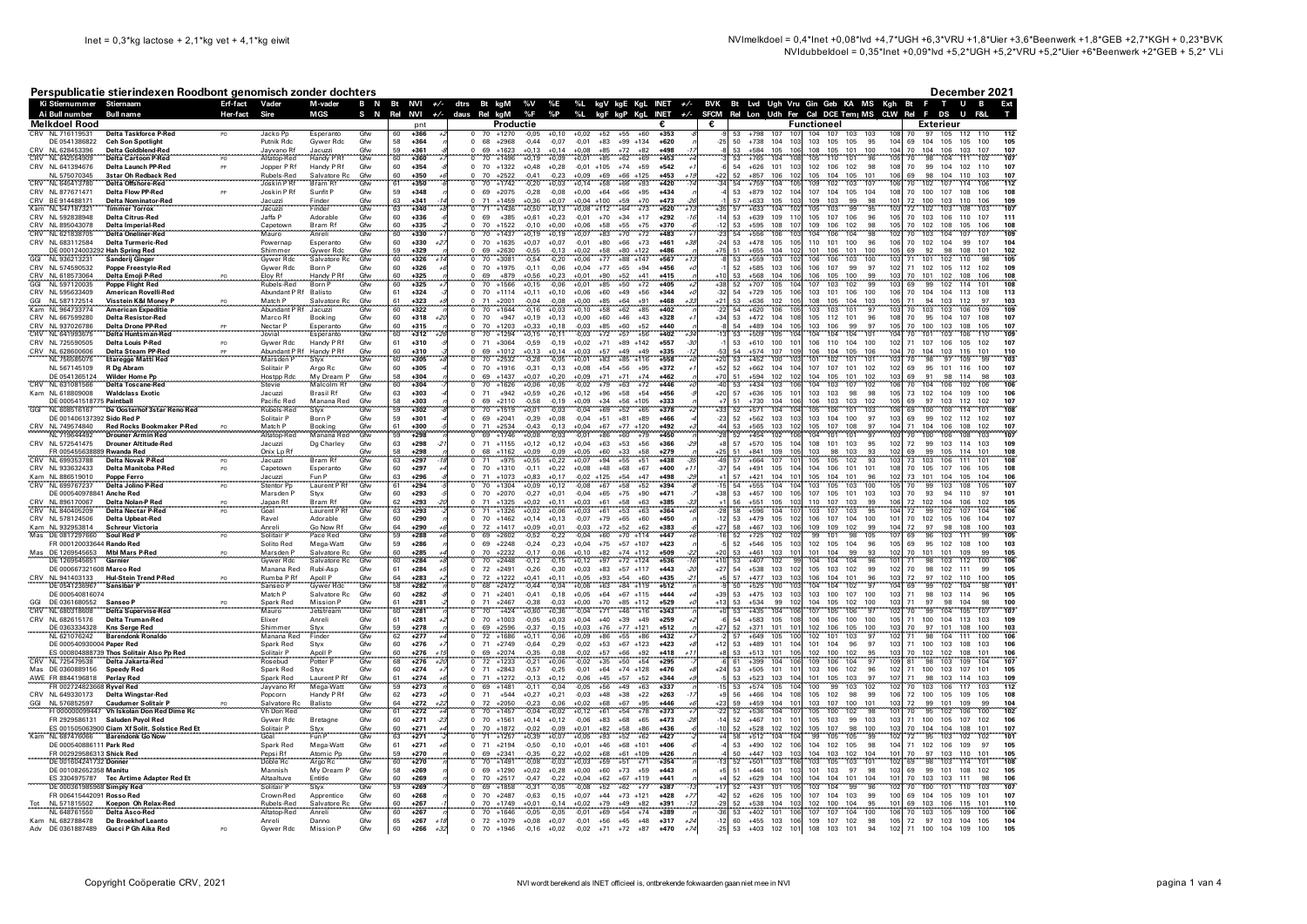Ai Bull nu

 $B_2$ . Hence  $B_2$ 

December 2021

Ext

 $\mathbf{r}$ 

T U B

BVK Bt Lvd Ugh Vru Gin Geb KA MS Kgh Bt

out and the state of the state of the state of the state of the state of the state of the state of the state of the state of the state of the state of the state of the state of the state of the state of the state of the s

## Perspublicatie stierindexen Roodbont genomisch zonder dochters Ki Stiernummer Stiernaam

Erf-fact Vader

Hor-fort

M-vader

**MCS** 

B N Bt NVI +/- dtrs Bt kgM

Rel NVI  $+/$ 

N

|            | <b>Melkdoel Rood</b>                                    |                                                             |           |                            |                              |            | pnt                                             | Productie                                                                                                                     | €                                                                       | €              |                                                                      | Functioneel                                                         | <b>Exterieur</b>                                                                           |
|------------|---------------------------------------------------------|-------------------------------------------------------------|-----------|----------------------------|------------------------------|------------|-------------------------------------------------|-------------------------------------------------------------------------------------------------------------------------------|-------------------------------------------------------------------------|----------------|----------------------------------------------------------------------|---------------------------------------------------------------------|--------------------------------------------------------------------------------------------|
|            | CRV NI 716119531                                        | Delta Taskforce P-Red                                       | PO.       | Jacko Po                   | Esperanto                    | Gfw        | $+366$<br>60                                    | 70 +1270<br>$-0.05$<br>$^{\circ}$<br>$+0.10$<br>$+0.02$                                                                       | $+353$<br>$+52$<br>$+55$<br>$+60$                                       |                | $+798$<br>107<br>53<br>107                                           | 104<br>107<br>103<br>103                                            | 112<br>105 112<br>97<br>110<br>70                                                          |
|            | DE 0541386822<br>NL 628453396                           | <b>Ceh Son Spotlight</b><br><b>Delta Goldblend-Red</b>      |           | Putnik Rdc<br>Javvano Rf   | Gywer Rdc<br>Jacuzzi         | Gfw<br>Gfw | 58<br>$+364$<br>59<br>$+361$                    | $^{\circ}$<br>68<br>$+2968$<br>$-0.44$<br>$-0.07$<br>$-0,01$<br>69<br>$+1623$<br>$+0,13$<br>$+0.14$<br>$+0,08$                | $+83$<br>$+99$<br>$+134$<br>$+620$<br>$+85$<br>$+72$<br>$+82$<br>+498   | $-25$          | 50<br>$+738$<br>104<br>103<br>106<br>53<br>$+584$<br>105             | 103<br>105<br>105<br>95<br>104<br>108<br>105<br>101<br>100<br>104   | 69<br>104<br>105<br>105<br>100<br>105<br>70<br>104<br>106<br>103<br>107<br>107             |
| CRV        | NL 642554909                                            | <b>Delta Cartoon P-Red</b>                                  |           | Altatop-Red                | Handy P Rf                   | Gfw        | 60<br>+360                                      | 70<br>$+1496$<br>$+0,19$<br>$+0,09$<br>$+0,01$                                                                                | $+85$<br>$+62$<br>$+69$<br>$+453$                                       |                | 108<br>53<br>$+765$<br>104                                           | 101<br>96<br>105                                                    | 70<br>98<br>104<br>111<br>102<br>107                                                       |
|            | CRV NL 641394676                                        | Delta Launch PP-Red                                         | PP        | Jopper P Rf                | Handy P Rf                   | Gfw        | 60<br>$+354$                                    | $0$ 70<br>$+1322$<br>$+0,48$<br>$+0,28$<br>$-0,01$ +105                                                                       | $+74$<br>$+59$<br>$+542$                                                |                | 54<br>$+626$<br>101<br>103                                           | 102<br>106<br>102<br>98<br>108                                      | 70<br>99<br>104<br>102 110<br>107                                                          |
|            | NI 575070345                                            | 3star Oh Redback Red                                        |           | Rubels-Rec                 | Salvatore Rc                 | Gfw<br>Gfw | 60<br>+350                                      | $+2522$<br>$+0.09$                                                                                                            | $+453$<br>+69<br>$+66$                                                  |                | 52<br><b>LR57</b><br>106<br>10                                       | 105<br>104<br>105<br>10 <sup>1</sup>                                | 98<br>104<br>110                                                                           |
| CRV        | NL 645413780                                            | <b>Delta Offshore-Red</b>                                   |           | Joskin PRf                 | Bram Rf                      |            | 61<br>$+350$                                    | 70<br>$+1742$<br>$+0.14$<br>0.20<br>$+0.03$                                                                                   | $+58$<br>$+420$<br>$+66$<br>$+93$                                       |                | 54<br>105<br>$+759$<br>104                                           | 107<br>103<br>109<br>102                                            | 70<br>102<br>107<br>106<br>112<br>114                                                      |
|            | CRV NL 877671471<br>CRV BE 914488171                    | <b>Delta Flow PP-Red</b>                                    | PP        | Joskin PRf                 | Sunfit P                     | Gfw<br>Gfw | 59<br>$+348$<br>63<br>$+341$                    | 69<br>$+2075$<br>$-0,28$<br>$-0,08$<br>$+0,00$<br>$\Omega$<br>$+1459$<br>$+0.36$<br>$+0.04 +100$<br>71<br>$+0.07$<br>$\Omega$ | $+64$<br>$+66$<br>$+95$<br>+434<br>$+59$<br>$+70$<br>$+473$             |                | 53<br>102<br>104<br>$+879$<br>57<br>103<br>$+633$<br>105             | 107<br>104<br>105<br>104<br>108<br>109<br>103<br>99<br>98<br>101    | 70<br>100<br>107<br>108<br>106<br>108<br>72<br>100<br>103<br>110<br>106<br>109             |
|            | Kam NL 547187321                                        | <b>Delta Nominator-Red</b><br><b>Timmer Torrox</b>          |           | Jacuzzi<br>Jacuzzi         | Finder<br>Finder             | Gfw        | 63<br>$+340$                                    | 71<br>$+1436$<br>$+0,50$<br>$+0,13$<br>$+0,08$ +112<br>$\Omega$                                                               | $+64$<br>$+73$<br>$+520$<br>$+1$                                        | $+35$          | $+633$<br>104<br>102<br>57                                           | 105<br>103<br>99<br>95<br>103                                       | 72<br>102<br>108<br>103<br>107<br>103                                                      |
|            | CRV NL 592838948                                        | <b>Delta Citrus-Red</b>                                     |           | Jaffa P                    | Adorable                     | Gfw        | 60<br>$+336$                                    | $+385$<br>$\Omega$<br>69<br>$+0.61$<br>$-0.01$<br>$+0.23$                                                                     | $+70$<br>$+34$<br>$+17$<br>$+292$                                       | $-14$          | 109<br>11<br>53<br>$+639$                                            | 105<br>107<br>106<br>96<br>105                                      | 70<br>111<br>103<br>106<br>110<br>107                                                      |
|            | CRV NL 895043078                                        | <b>Delta Imperial-Red</b>                                   |           | Capetown                   | Bram Rf                      | Gfw        | 60<br>+335                                      | 70<br>$+1522$<br>$+0,00$<br>$+0,06$<br>0<br>$-0,10$                                                                           | $+58$<br>$+55$<br>$+75$<br>$+370$                                       | $-12$          | 53<br>$+595$<br>108<br>107                                           | 109<br>106<br>102<br>98<br>105                                      | 70<br>102<br>108<br>105<br>106<br>108                                                      |
|            | CRV NL 621838705                                        | Delta Oneliner-Red                                          |           | Mauro                      | Anreli                       | Gfw        | 60<br>$+330$                                    | 0 <sub>70</sub><br>$+0,07$<br>$+1437$<br>$+0.19$<br>$+0,19$                                                                   | $+83$<br>$+70$<br>$+483$<br>$+72$                                       | $-23$          | 103<br>54<br>106<br>$+556$                                           | 104<br>98<br>104<br>102<br>106                                      | 70<br>103<br>107<br>109<br>104<br>107                                                      |
|            | CRV NL 683112584                                        | <b>Delta Turmeric-Red</b><br>DE 000124003292 Hah Spring Red |           | Powernap<br>Shimmer        | Esperanto<br>Gywer Rdc       | Gfw<br>Gfw | 60<br>$+330$<br>59<br>$+329$                    | 70<br>$^{\circ}$<br>$+1635$<br>$+0.07$<br>$+0.07$<br>$-0.01$<br>69<br>$+2630$<br>$-0.55$<br>$-0.13$<br>$+0.02$                | $+80$<br>$+66$<br>$+73$<br>$+461$<br>$+58$<br>$+80$<br>$+122$<br>$+486$ | $-24$<br>$+75$ | 53<br>105<br>$+478$<br>105<br>104<br>102<br>51<br>$+655$             | 110<br>101<br>100<br>96<br>106<br>101<br>106<br>101<br>100<br>105   | 70<br>102<br>99<br>104<br>107<br>104<br>92<br>108<br>69<br>98<br>101<br>102                |
| GGI        | NL 936213231                                            | Sanderij Ginger                                             |           | Gywer Rdc                  | Salvatore Rc                 | Gfw        | 60<br>$+326$                                    | 70<br>$+3081$<br>$-0,54$<br>$-0,20$<br>$+0,06$                                                                                | $+77$<br>$+88$<br>$+147$<br>$+567$                                      |                | 102<br>103<br>53<br>$+559$                                           | 100<br>103<br>106<br>106                                            | 71<br>98<br>105<br>101<br>102<br>110                                                       |
|            | CRV NI 574590532                                        | <b>Poppe Freestyle-Red</b>                                  |           | Gywer Rdc                  | Born P                       | Gfw        | 60<br>$+326$                                    | 0, 70<br>$+1975$<br>$-0.11$<br>$-0.06$<br>$+0.04$                                                                             | $+77$<br>$+65$<br>$+94$<br>$+456$                                       |                | 106<br>52<br>$+585$<br>103                                           | 107<br>99<br>97<br>106<br>102                                       | 71<br>109<br>102<br>105<br>112 102                                                         |
|            | CRV NL 618573064<br>GGI NL 597120035                    | Delta Emoji P-Red                                           |           | Eloy Rf                    | Handy P Rf                   | Gfw        | 60<br>+325                                      | 69<br>70<br>$+879$<br>$+0.56$<br>$+0,23$<br>$+0,01$                                                                           | +90<br>$+52$<br>$+41$<br>$+415$                                         | +10            | 53<br>+568<br>104<br>106<br>104                                      | 106<br>105<br>100                                                   | 70<br>101<br>102<br>108<br>108                                                             |
|            |                                                         | <b>Poppe Flight Red</b>                                     |           | Rubels-Red                 | <b>Born P</b>                | Gfw        | 60<br>$+325$                                    | $+1566$<br>$+0.01$<br>$+0.15$<br>-0.06                                                                                        | $+50$<br>$+72$<br>$+405$<br>$+85$                                       | $+38$          | 52<br>105<br>$+707$                                                  | 102<br>99<br>103<br>107                                             | 108<br>69<br>99<br>102<br>114<br>101                                                       |
|            | CRV NL 595633409<br>NI 587172514                        | <b>American Rovelli-Red</b><br>Visstein K&I Money P         |           | Abundant P Rf              | Balisto                      | Gfw        | 61<br>$+324$<br>$+323$                          | $0$ 70<br>$+1114$<br>$+0,11$<br>$+0,10$<br>$+0,06$<br>$+2001$<br>71<br>$-0.08$                                                | $+60$<br>$+49$<br>$+56$<br>$+344$<br>$+64$<br>$+91$<br>$+468$           | $-32$          | 54<br>$+729$<br>105<br>106<br>$+636$<br>105<br>53<br>102             | 103<br>101<br>106<br>100<br>106<br>108<br>105<br>104<br>103<br>105  | 70<br>104<br>104<br>113<br>108<br>113<br>71<br>94<br>103<br>112<br>97<br>103               |
| GGI<br>Kam | NL 964733774                                            | <b>American Expeditie</b>                                   |           | Match P<br>Abundant P      | Salvatore Rc<br>Jacuzzi      | Gfw<br>Gfw | 61<br>60<br>$+322$                              | $+0.00$<br>$-0.04$<br>70<br>$+1644$<br>$+0,10$<br>$-0.16$<br>$+0.03$                                                          | $+85$<br>$+58$<br>$+62$<br>$+402$<br>$+85$                              | $+21$<br>$-22$ | 105<br>54<br>$+620$<br>106                                           | 103<br>101<br>97<br>103<br>103                                      | 103<br>70<br>103<br>106<br>109<br>109                                                      |
|            | CRV NL 667599280                                        | <b>Delta Resistor-Red</b>                                   |           | Marco Rf                   | Booking                      | Gfw        | 60<br>$+318$                                    | $+947$<br>$+0.13$<br>$+0.00$<br>$\Omega$<br>70<br>$+0,19$                                                                     | $+60$<br>$+46$<br>$+43$<br>$+328$                                       | $+34$          | 53<br>$+472$<br>104<br>108                                           | 105<br>101<br>112<br>96<br>108                                      | 70<br>95<br>104<br>107<br>108<br>107                                                       |
|            | CRV NL 937026786                                        | <b>Delta Drone PP-Red</b>                                   |           | Nectar P                   | Esperanto                    | Gfw        | 60<br>$+315$                                    | 70<br>$+1203$<br>$+0.33$<br>$+0.18$<br>$-0,03$                                                                                | $+85$<br>$+60$<br>$+52$<br>+440                                         |                | $+489$<br>104<br>105<br>54                                           | 103<br>106<br>99<br>97<br>105                                       | 70<br>100<br>103<br>108<br>105<br>107                                                      |
|            | CRV NL 641993675                                        | <b>Delta Huntsman-Red</b>                                   |           | Jovial                     | Esperanto                    | Gfw        | 60<br>$+312$                                    | $-0.03$<br>'n<br>70<br>$+1294$<br>$+0.15$<br>$+0.11$                                                                          | $+72$<br>$+57$<br>$+56$<br>$+402$                                       |                | 104<br>53<br>$+509$<br>105                                           | 104 101<br>104<br>104<br>104                                        | 70<br>101<br>103<br>106<br>110<br>109                                                      |
|            | CRV NL 725590505<br>CRV NL 628600606                    | <b>Delta Louis P-Red</b><br>Delta Steam PP-Red              | PO        | Gywer Rdc<br>Abundant P Rf | Handy P Rf<br>Handy P Rf     | Gfw<br>Gfw | 61<br>$+310$<br>60<br>$+310$                    | 71<br>$+3064$<br>$-0.59$<br>$-0.19$<br>$+0,02$<br>69<br>$+1012$<br>$+0.13$<br>$+0.03$<br>$+0.14$                              | $+71$<br>$+89$ +142<br>$+557$<br>$+57$<br>$+49$<br>$+335$<br>$+49$      | -53            | 53<br>$+610$<br>100<br>101<br>109<br>54<br>107<br>$+574$             | 106<br>110<br>104<br>100<br>102<br>106<br>104<br>105<br>106<br>104  | 71<br>107<br>106<br>105<br>102<br>107<br>70<br>104<br>103<br>115<br>101<br>110             |
|            | NL 756585075                                            | <b>Etaregge Matti Red</b>                                   |           | .<br>Marsden F             | Styx <sup>1</sup>            | Gfw        | 60<br>$+305$                                    | $+0,01$<br>70<br>$+2532$                                                                                                      | $+83$<br>$+85$<br>$+558$                                                |                | 100<br>10 <sub>2</sub><br>$+452$                                     | 101<br>101<br>101<br>102                                            | 98<br>99<br>70<br>97<br>109<br>103                                                         |
|            | NL 567145109                                            | R Dg Abram                                                  |           | Solitair P                 | Argo Rc                      | Gfw        | 60<br>$+305$                                    | $0$ 70<br>$+1916$<br>$-0.31$<br>$-0.13$<br>$+0.08$                                                                            | $+54$<br>$+56$<br>$+95$<br>$+372$                                       | $+52$          | 104<br>52<br>$+662$<br>104                                           | 107<br>107<br>101<br>102<br>102                                     | 107<br>69<br>95<br>101<br>116<br>100                                                       |
|            | DE 0541365124                                           | <b>Wilder Home Pp</b>                                       |           | Hostpp Rdc<br>Stevie       | My Dream P<br>Malcolm Rf     | Gfw        | $\begin{array}{c} 58 \\ 60 \end{array}$<br>+304 | $+1437$<br>$+0,07$<br>69<br>$+0,20$<br>$+0,09$<br>$-0,02$                                                                     | $+71$<br>$+71$<br>$+74$<br>$+72$<br>+462                                | $+70$          | 51<br>102<br>$+594$<br>102                                           | 104<br>102<br>105<br>101<br>102                                     | 69<br>91<br>98<br>114<br>103                                                               |
| CRV        | NL 631081566                                            | <b>Delta Toscane-Red</b>                                    |           |                            |                              | Gfw        | +304                                            | $+1626$<br>70<br>$+0.05$<br>$+0,06$                                                                                           | $^{+63}$<br>$+79$<br>+446                                               | $-40$          | 103<br>106<br>53<br>$+434$                                           | 104<br>107<br>102<br>103                                            | 106<br>106<br>70<br>04<br>106<br>102                                                       |
|            | Kam NL 618809008<br>DE 000541518775 Painthall           | <b>Waldclass Exotic</b>                                     |           | Jacuzzi<br>Pacific Red     | <b>Brasil Rt</b>             | Gfw        | 63<br>$+303$<br>$+303$                          | 71<br>$+942$<br>$+0.59$<br>$+0.26$<br>$+0,12$<br>6 <sup>C</sup><br>$+2110$<br>$-0.58$<br>$-0.19$<br>$+0.09$                   | $+96$<br>$+58$<br>$+54$<br>$+456$<br>$+34$<br>+56<br>$+105$<br>$+333$   | $+20$          | 57<br>101<br>$+636$<br>105<br>$+730$<br>10f<br>104                   | 103<br>103<br>98<br>98<br>105<br>106<br>103<br>103<br>102<br>105    | 73<br>102<br>104<br>109<br>100<br>106<br>97<br>112<br>69<br>103<br>102<br>107              |
|            | NL 608516167                                            | De Oosterhof 3star Reno Red                                 |           | Rubels-Red                 | Manana Red<br>Styx           | Gfw<br>Gfw | 58<br>59<br>$+302$                              | $70^{\circ}$<br>$-0,04$<br>$+0.01$                                                                                            | $^{+69}$<br>$+52$<br>$+65$<br>$+378$                                    |                | 104<br>104<br>$+571$                                                 | 103<br>105<br>106<br>101                                            | 69<br>100<br>101<br>108<br>100                                                             |
|            | DF 001406137392 Sido Red P                              |                                                             |           | Solitair P                 | Born P                       | Gfw        | 59<br>$+301$                                    | 0.69<br>$+2041$<br>$-0.39$<br>$+0.08$<br>$-0.04$                                                                              | $+51$<br>$+81$<br>$+89$<br>$+466$                                       | $-23$          | 52<br>$+562$<br>103<br>103                                           | 103<br>104<br>100<br>97<br>103                                      | 69<br>107<br>99<br>102<br>112<br>102                                                       |
|            | CRV NL 749574840                                        | <b>Red Rocks Bookmaker P-Red</b>                            |           | Match P                    | Booking                      | Gfw        | 61<br>$+300$                                    | 71<br>$+2534$<br>$-0,43$<br>$-0,13$<br>$+0,04$                                                                                | $+67$<br>$+77$<br>$+120$<br>$+492$                                      | $-44$          | 53<br>$+565$<br>103<br>102                                           | 105<br>107<br>108<br>97<br>104                                      | 71<br>104<br>106<br>108<br>102<br>107                                                      |
|            | NL 719644492                                            | <b>Drouner Armin Red</b>                                    |           | Altatop-Red                | Manana Red                   | Gfw        | 59<br>$+298$                                    | 0 69<br>$+1746$<br>$+0,08$<br>$-0,03$<br>$-0,01$                                                                              | $+86$<br>$+60$<br>$+79$<br>$+450$                                       | $-28$          | 52<br>106<br>$+454$<br>102                                           | 10 <sup>2</sup><br>104<br>101<br>101<br>97                          | 70<br>100<br>107<br>106<br>108<br>103                                                      |
|            | CRV NL 572541475<br>FR 005455638889 Rwanda Red          | <b>Drouner Altitude-Red</b>                                 |           | Jacuzzi                    | Dg Charley                   | Gfw<br>Gfw | 63<br>$+298$<br>58<br>$+298$                    | $0$ 71<br>$+1155$<br>$+0,12$<br>$+0,12$<br>$+0,04$<br>$+1162$<br>68<br>$+0.09$<br>$-0.09$<br>$+0.05$                          | $+63$<br>$+53$<br>$+56$<br>$+366$<br>$+60$<br>$+58$<br>$+33$<br>$+279$  | $+25$          | 57<br>$+570$<br>105<br>10 <sub>1</sub><br>105<br>51<br>$+841$<br>109 | 108<br>101<br>103<br>95<br>102<br>103<br>98<br>103<br>93<br>102     | 72<br>99<br>103<br>114<br>103<br>109<br>99<br>108<br>69<br>105<br>114<br>101               |
| CRV        | NL 699353788                                            | <b>Delta Novak P-Red</b>                                    | PO        | Onix Lp Rf<br>Jacuzzi      | <b>Bram Rf</b>               | Gfw        | 63<br>$+297$                                    | 71<br>$+975$<br>$+0.55$<br>$+0.22$<br>$+0.07$                                                                                 | $+94$<br>$+55$<br>$+51$<br>$+438$                                       | $-49$          | 10 <sup>1</sup><br>57<br>$+664$<br>107                               | 93<br>105<br>105<br>102<br>10 <sup>2</sup>                          | 73<br>103<br>101<br>108<br>106<br>111                                                      |
|            | CRV NL 933632433                                        | Delta Manitoba P-Red                                        | PO        | Capetown                   | Esperanto                    | Gfw        | 60<br>$+297$                                    | 0, 70<br>$+1310$<br>$-0.11$<br>$+0.22$<br>$+0.08$                                                                             | $+48$<br>$+68$<br>$+67$<br>$+400$<br>$+1$                               | $-37$          | 54<br>$+491$<br>105<br>104                                           | 104<br>106<br>101<br>101<br>108                                     | 70<br>105<br>107<br>106<br>105<br>108                                                      |
|            | Kam NL 886519010                                        | Poppe Ferro                                                 |           | Jacuzzi                    | Fun P                        | Gfw        | 63<br>$+296$                                    | $-0.02 + 125$<br>71<br>$+1073$<br>$+0.83$<br>$+0.17$                                                                          | $+54$<br>$+47$<br>+498                                                  |                | 101<br>57<br>$+421$<br>104                                           | 105<br>104<br>101<br>96<br>102                                      | 73<br>101<br>104<br>105<br>104<br>106                                                      |
|            | CRV NL 699767237                                        | Delta Jolino P-Red                                          | <b>PC</b> | Stentor Pp                 | Laurent P Rt                 | Gfw        | $+294$<br>61                                    | 70<br>$+1304$<br>$+0,09$<br>$+0,12$<br>$-0.08$                                                                                | $+67$<br>$+58$<br>$+52$<br>$+394$                                       |                | 104<br>$+555$<br>10 <sup>2</sup><br>54                               | 103<br>103<br>105<br>100<br>10 <sup>5</sup>                         | 105<br>107<br>99<br>103<br>108<br>70                                                       |
|            | DE 000540978841 Anche Red<br>NL 896170067               |                                                             |           | Marsden P                  | Styx                         | Gfw        | 60<br>$+293$<br>$+293$                          | $0$ 70<br>$+2070$<br>$-0,27$<br>$+0,01$<br>$-0,04$<br>71                                                                      | $+65$<br>$+75$<br>$+90$<br>$+471$                                       | $+38$          | 53<br>$+457$<br>100<br>105<br>$+551$                                 | 107<br>105<br>101<br>103<br>103<br>110<br>107<br>106                | 70<br>93<br>94<br>110<br>97<br>101<br>104                                                  |
|            | CRV NL 840405209                                        |                                                             |           | Japan Rf<br>Goal           | Bram Rf<br>Laurent P Rf      | Gfw<br>Gfw | 62<br>63<br>$+293$                              | $+1325$<br>$+1326$<br>$+0,02$<br>$+0,02$<br>$+0,11$<br>$+0,06$<br>$+0,03$<br>$+0,03$                                          | $^{+61}_{+61}$<br>$^{+58}_{+53}$<br>$+63$<br>$+63$<br>$+385$<br>$+364$  |                | 56<br>58<br>105<br>104<br>$\frac{10}{10}$<br>$+596$                  | 103<br>103<br>$\begin{array}{c} 99 \\ 95 \end{array}$<br>107<br>103 | 72<br>72<br>102<br>99<br>$\frac{106}{107}$<br>102<br>104<br>105<br>106<br>$\frac{10}{102}$ |
|            | CRV NL 578124506                                        | Delta Upbeat-Red                                            |           | Ravel                      | Adorable                     | Gfw        | 60<br>$+290$                                    | 70<br>$+1462$<br>$-0,07$<br>$\Omega$<br>$+0,14$<br>$+0,13$                                                                    | $+79$<br>$+65$<br>$+450$<br>$+60$                                       | $-12$          | 53<br>$+479$<br>105<br>102                                           | 106<br>107<br>104<br>100<br>101                                     | 70<br>102<br>105<br>106<br>104<br>107                                                      |
|            | NL 932953814                                            | Schreur Victoria<br>And Dad B                               |           | Anreli<br>Solitair P       | Go Now Rf<br>Pace Red        | Gfw<br>Gfw | 64<br>59<br>+290                                | $\begin{array}{c} 72 \\ 69 \end{array}$<br>$+1417$<br>0,09+<br>$-0,03$                                                        | $^{+72}_{+60}$<br>$+52$<br>$+383$<br>$+62$<br>+114                      |                | 58<br>$+467$<br>103<br>106                                           | 109<br>$\frac{109}{101}$<br>102                                     | $\frac{72}{69}$<br>108<br>103<br>98<br>100                                                 |
|            | DE 0817297660                                           | Soul Red P                                                  |           |                            |                              |            | $+288$                                          | $-0.52$<br>$-0.04$<br>$+2602$<br>$-0.22$                                                                                      | $+70$<br>$-447$                                                         |                | 52<br>$+725$<br>10 <sup>2</sup><br>102                               | 98<br>99                                                            | 96<br>103<br>111 99                                                                        |
|            | FR 000120033644 Rando Red                               |                                                             |           | Solito Red<br>Marsden F    | Mega-Watt                    | Gfw<br>Gfw | 59<br>$+286$<br>60<br>$+285$                    | 69<br>$+2248$<br>$-0,23$<br>$\mathbf 0$<br>$-0.24$<br>$+0.04$<br>70<br>$+2232$<br>$-0.17$<br>$-0.06$<br>$+0.10$<br>$\Omega$   | $+75$<br>$+57$ +107<br>$+423$<br>$+82$<br>$+74$ $+112$<br>+509          | +20            | 52<br>105<br>103<br>$+546$<br>53<br>$+461$<br>103<br>101             | 102<br>105<br>104<br>96<br>105<br>101<br>104<br>99<br>93<br>102     | 69<br>95<br>102<br>108<br>100<br>103<br>70<br>101<br>101<br>109<br>99<br>105               |
|            | DE 1269545651                                           | Mas DE 1269545653 Mbl Mars P-Red<br>Garnier                 | PO        | Gywer Rdc                  | Salvatore Rc<br>Salvatore Rc | Gfw        | 60<br>$+284$                                    | 70<br>$+2448$<br>$-0,12$<br>$-0,15$<br>$+0,12$                                                                                | $+97$<br>$+72$ +124<br>$+536$                                           | $+10$          | 53<br>$+407$<br>102                                                  | 104<br>104<br>104<br>96<br>$10^{1}$                                 | 71<br>98<br>103<br>112<br>100<br>106                                                       |
|            | DE 000667321608 Marco Red                               |                                                             |           | Manana Red                 | Rubi-Asp                     | Gfw        | 61<br>$+284$                                    | 0, 72<br>$+2491$<br>$-0.26$<br>$-0.30$<br>$+0.03$                                                                             | $+83$<br>$+57$ +117<br>$+443$                                           | $+27$          | 54<br>$+538$<br>103<br>102                                           | 105<br>103<br>102<br>99<br>102                                      | 70<br>98<br>102<br>111<br>99<br>105                                                        |
|            | CRV NL 941403133                                        | <b>Hul-Stein Trend P-Red</b>                                |           | Rumba PRf                  | Apoll P                      | Gfw        | 64<br>$+283$                                    | 72<br>$+1222$<br>$+0,41$<br>$+0,11$<br>$+0,05$<br>$\Omega$                                                                    | $+93$<br>$+54$<br>$+60$<br>$+435$                                       | $+5$           | 57<br>$+477$<br>103<br>103                                           | 106<br>104<br>101<br>96<br>103                                      | 72<br>97<br>102<br>110<br>100<br>105                                                       |
|            | DE 0541236967                                           | Sansibar P                                                  |           | Sanseo P                   | Gywer Rdc                    | Gfw        | 58<br>$+282$                                    | $+2472$<br>$+0,06$<br>$\mathbf 0$<br>68<br>$-0,44$<br>$-0,04$                                                                 | $+63$<br>$+84$ +119<br>$+512$                                           |                | 103<br>50<br>$+525$<br>100                                           | 104<br>104<br>102<br>97<br>104                                      | 69<br>99<br>104<br>101<br>102<br>98                                                        |
|            | DE 000540816074<br>DE 0361680552                        | Sanseo P                                                    |           | Match P<br>Spark Red       | Salvatore Rc<br>Mission P    | Gfw<br>Gfw | 60<br>$+282$<br>61<br>$+281$                    | 71<br>$+0,05$<br>$\Omega$<br>$+2401$<br>$-0.41$<br>$-0.18$<br>71<br>$+2467$<br>$-0.38$<br>$-0.03$<br>$+0.00$                  | $+64$<br>$+67$<br>$+115$<br>$+444$<br>$+70$<br>+85<br>$+112$<br>+529    | $+39$<br>$+12$ | 53<br>103<br>$+475$<br>103<br>102<br>53<br>+534<br>qq                | 103<br>100<br>107<br>100<br>103<br>102<br>100<br>103<br>104<br>105  | 71<br>98<br>114<br>96<br>105<br>103<br>71<br>97<br>104<br>98<br>98<br>100                  |
| CRV        | NL 680318608                                            | <b>Delta Supervise-Red</b>                                  |           | Mauro                      | Jetstream                    | Gfw        | 60<br>$+281$                                    | $+424$<br>70<br>$+0,60$<br>$+0,36$<br>$-0,04$                                                                                 | $+71$<br>$+46$<br>$+16$<br>$+343$                                       |                | $+435$<br>53<br>104<br>106                                           | 106<br>97<br>105<br>107                                             | 99<br>107<br>107<br>104<br>105<br>70                                                       |
|            | CRV NL 682615176                                        | Delta Truman-Red                                            |           | Elixer                     | Anreli                       | Gfw        | 61<br>$+281$                                    | $\Omega$<br>70<br>$+1003$<br>$-0,05$<br>$+0,03$<br>$+0,04$                                                                    | $+40$<br>$+39$<br>$+49$<br>$+259$                                       |                | 54<br>$+583$<br>105<br>108                                           | 106<br>106<br>100<br>100<br>105                                     | 71<br>100<br>104<br>113<br>103<br>109                                                      |
|            | DE 0363334328                                           | <b>Kns Serge Red</b>                                        |           | Shimmer<br>Manana Rec      | Styx<br>Finder               | Gfw<br>Gfw | 59<br>62<br>$+278$                              | 69<br>72<br>$+2596$<br>$+1686$<br>$-0,37$<br>$+0,11$<br>$-0,15$<br>$-0,06$<br>$+0,03$<br>$+0,09$                              | $+76$<br>$^{+77}_{+55}$<br>$+121$<br>$+512$                             | $+27$          | 10 <sup>1</sup><br>$\frac{52}{57}$<br>$+371$<br>101                  | 102<br>106<br>105<br>100<br>103                                     | $\frac{70}{71}$<br>$\frac{97}{98}$<br>101<br>108<br>100<br>103                             |
|            | NL 621076242                                            | <b>Barendonk Ronaldo</b>                                    |           |                            |                              |            | $+277$                                          | $\Omega$                                                                                                                      | +86<br>$+432$                                                           | $+12$          | $+649$<br>10 <sub>10</sub><br>105<br>$+489$                          | 103<br>97<br>101<br>97<br>103                                       | 106<br>111<br>100<br>104<br>71<br>106                                                      |
|            | DE 000540930004 Paper Red                               | ES 000804888739 Thos Solitair Also Pp Red                   |           | Spark Red<br>Solitair P    | Styx<br>Apoll P              | Gfw<br>Gfw | 60<br>$+276$<br>60<br>$+276$                    | 71<br>$+2749$<br>$-0,64$<br>$-0,29$<br>$-0,02$<br>69<br>$+2074$<br>$-0.35$<br>$-0.08$<br>$-0,02$                              | $+53$<br>$+67$<br>$+123$<br>$+423$<br>$+57$<br>$+66$<br>$+92$<br>$+418$ |                | 53<br>101<br>104<br>53<br>$+513$<br>101<br>10!                       | 101<br>104<br>96<br>102<br>100<br>102<br>95<br>103                  | 100<br>103<br>108<br>103<br>70<br>102<br>102<br>108<br>101<br>106                          |
| CRV        | NL 725479538                                            | Delta Jakarta-Red                                           |           | Rosebud                    | Potter F                     | Gfw        | 68<br>$+276$                                    | $-0,02$<br>72<br>$+1233$<br>$-0,21$<br>$+0,06$                                                                                | $+35$<br>$+295$<br>$+50$<br>$+54$                                       |                | 104<br>106<br>61<br>$+399$                                           | 104<br>97<br>109<br>106                                             | 109<br>107<br>98<br>103<br>104<br>81                                                       |
|            | Mas DE 0360889156                                       | <b>Speedy Red</b>                                           |           | Spark Red                  | Stvx                         | Gfw        | 60<br>$+274$                                    | 71<br>$+2843$<br>$-0,57$<br>$-0,25$<br>$-0,01$<br>$\Omega$                                                                    | $+64$<br>$+74$<br>$+128$<br>$+476$                                      | $+24$          | 53<br>$+505$<br>101<br>10 <sup>1</sup>                               | 103<br>106<br>102<br>96<br>102                                      | 71<br>100<br>103<br>107<br>101<br>105                                                      |
|            | AWE FR 8844196818                                       | <b>Perlav Red</b>                                           |           | Spark Red                  | Laurent P Rf                 | Gfw        | $+274$<br>61                                    | 71<br>$+1272$<br>$-0,13$<br>$-0,06$<br>$+0.12$                                                                                | $+45$<br>$+57$<br>$+52$<br>$+344$                                       |                | 53<br>$+523$<br>103<br>104                                           | 101<br>105<br>103<br>97<br>107                                      | 71<br>98<br>103<br>103<br>114<br>109                                                       |
|            | FR 002724823668 Ryvel Red<br>CRV NI 649330173           | <b>Delta Wingstar-Red</b>                                   |           | Jayvano Rf<br>Popcorn      | Mega-Watt<br>Handy P Rf      | Gfw<br>Gfw | 59<br>$+273$<br>62<br>$+273$                    | 69<br>$+1481$<br>$-0,05$<br>$-0,11$<br>$-0.04$<br>$0$ 71<br>$+544$<br>$+0.27$<br>$+0.21$<br>$-0.03$                           | $+56$<br>$+337$<br>$+49$<br>$+63$<br>$+48$<br>$+38$<br>$+22$<br>$+263$  | $\pm$ C        | 104<br>$+574$<br>105<br>53<br>108<br>56<br>$+466$<br>104             | 99<br>103<br>102<br>100<br>105<br>102<br>98<br>99<br>106            | 103<br>112<br>106<br>117<br>103<br>70<br>72<br>100<br>105<br>109<br>105<br>108             |
| GGI        | NL 576852597                                            | <b>Caudumer Solitair P</b>                                  |           | Salvatore Rc               | <b>Balisto</b>               | Gfw        | 64<br>$+272$                                    | 72<br>$+2050$<br>$-0.23$<br>$-0.06$<br>$+0.02$<br>$\Omega$                                                                    | $+68$<br>$+67$<br>$+95$<br>$+446$                                       | +23            | 59<br>$+459$<br>104<br>101                                           | 103<br>103<br>107<br>100<br>101                                     | 72<br>99<br>101<br>109<br>99<br>104                                                        |
|            | FI 000000099447                                         | Vh Iskolan Don Red Dime Rc                                  |           | <b>Vh Don Red</b>          |                              | Gfw        | $+272$<br>61                                    | 70<br>$+1457$<br>$-0.04$<br>$+0.12$<br>$\overline{0}$<br>$+0.02$                                                              | $+61$<br>$+54$<br>$+78$<br>$+373$                                       | $-22$          | 52<br>$+536$<br>104<br>107                                           | 105<br>100<br>102<br>98                                             | 70<br>95<br>100<br>102<br>102<br>106                                                       |
|            | FR 2929586131                                           | Saluden Puyol Red                                           |           | Gywer Rdc                  | Bretagne                     | Gfw        | 60<br>$+271$                                    | 70<br>$+1561$<br>$+0,14$<br>$+0,12$<br>$-0,06$<br>0                                                                           | $+83$<br>$+68$<br>$+65$<br>$+473$                                       | $-14$          | 52<br>$+467$<br>101<br>101                                           | 105<br>103<br>99<br>103<br>103                                      | 71<br>100<br>105<br>107<br>102<br>106                                                      |
|            |                                                         | ES 001505063900 Ciam Xf Solit. Solstice Red Et              |           | Solitair P                 | Styx<br>Fun P                | Gfw        | 60<br>$+271$                                    | 70<br>$+1872$<br>$+0,01$<br>$-0.02$<br>$-0.09$                                                                                | $+82$<br>$+58$<br>$+86$<br>+436                                         | $-10$          | 52<br>$+528$<br>102<br>102                                           | 105<br>107<br>98<br>100<br>103                                      | 104<br>104<br>108<br>101<br>107<br>70                                                      |
|            | NL 687476066<br>DE 000540886111 Park Red                | <b>Barendonk Go Now</b>                                     |           | Goal<br>Spark Red          | Mega-Watt                    | Gfw<br>Gfw | 63<br>$+271$<br>61<br>$+271$                    | 71<br>$+1257$<br>$+0,39$<br>$+0,07$<br>$+0,05$<br>$0$ 71 +2194<br>$-0.10$<br>$-0.50$<br>$+0.01$                               | $+93$<br>$+52$<br>$+62$<br>$+427$<br>$+46$<br>$+68$<br>$+101$<br>$+406$ |                | 10 <sup>2</sup><br>58<br>$+512$<br>104<br>106<br>53<br>102<br>$+490$ | 99<br>105<br>105<br>99<br>104<br>102<br>105<br>98<br>104            | 72<br>102<br>102<br>95<br>103<br>101<br>71<br>102<br>106<br>109<br>97<br>105               |
|            | FR 002929586313 Shick Red                               |                                                             |           | Pepsi Rf                   | Atomic Pp                    | Gfw        | 59<br>+270                                      | 69<br>$+2341$<br>$-0,35$<br>$-0,22$<br>$+0,02$                                                                                | $+68$<br>$+61$<br>$+109$<br>+426                                        |                | 103<br>50<br>$+447$<br>103                                           | 104<br>103<br>102<br>104<br>10 <sup>1</sup>                         | 70<br>97<br>103<br>110<br>10 <sup>°</sup><br>105                                           |
|            | DE 001604241732 Donner                                  |                                                             |           | Doble Rc                   | Argo Rc                      | Gfw        | 60<br>$+270$                                    | 70<br>$+1491$<br>$-0.08$<br>$+0.03$<br>$-0.03$                                                                                | $+59$<br>$+51$<br>$+354$<br>$+71$                                       |                | 52<br>106<br>$+501$<br>103                                           | 101<br>103<br>105<br>103                                            | 108<br>69<br>98<br>103<br>101<br>114                                                       |
|            | DE 001082652358 Manitu                                  |                                                             |           | Mannish                    | My Dream P                   | Gfw        | 58<br>$+269$                                    | 69<br>$+0,02$<br>$+0,28$<br>$+0,00$<br>$\mathbf 0$<br>$+1290$                                                                 | $+60$<br>$+73$<br>$+59$<br>$+443$                                       |                | 101<br>103<br>51<br>$+446$                                           | 101<br>103<br>97<br>98<br>103                                       | 69<br>99<br>108<br>105<br>101<br>102                                                       |
|            |                                                         | ES 3304975787 Tec Artime Adapter Red Et                     |           | Altaaltuve                 | Entitle                      | Gfw        | 60<br>$+269$                                    | $+2517$<br>$-0.47$<br>70<br>$-0.22$<br>$+0.04$<br>$\Omega$                                                                    | $+62$<br>$+67$<br>$+119$<br>$+441$                                      |                | 100<br>52<br>$+629$<br>104                                           | 104<br>104<br>104<br>101<br>101                                     | 70<br>103<br>103<br>111<br>98<br>106                                                       |
|            | DE 000361985968 Simply Red<br>FR 006415442091 Rosso Red |                                                             |           | Solitair P<br>Crown-Red    | Styx                         | Gfw<br>Gfw | 59<br>$+269$<br>60<br>$+268$                    | $\ddot{\mathbf{0}}$<br>69<br>$+1858$<br>$-0,31$<br>$-0,05$<br>$-0,08$<br>70<br>$+2487$<br>$-0.63$                             | $+52$<br>$+62$<br>$+77$<br>$+387$<br>$+44$<br>$+73$<br>$+428$           | $+17$          | 105<br>52<br>101<br>$+431$<br>100<br>52<br>$+626$<br>105             | 96<br>103<br>104<br>99<br>102<br>107<br>104<br>103<br>99<br>100     | $70\,$<br>100<br>107<br>101<br>110<br>103<br>104<br>109<br>101<br>107                      |
| Tot        | NL 571815502                                            | Koepon Oh Relax-Red                                         |           | Rubels-Red                 | Apprentice<br>Salvatore Ro   | Gfw        | 60<br>$+267$                                    | $-0.15$<br>$+0.07$<br>$\Omega$<br>70<br>$+1749$<br>$+0,01$<br>$+0,02$<br>$-0.14$                                              | $+121$<br>$+79$<br>$+49$<br>$+82$<br>+391                               | $-42$<br>$-29$ | 52<br>$+538$<br>104<br>103                                           | 102<br>100<br>104<br>95<br>101                                      | 69<br>105<br>69<br>103<br>106<br>115<br>101<br>110                                         |
|            | NL 648761550                                            | <b>Delta Asco-Red</b>                                       |           | Altatop-Red                | Anreli                       | Gfw        | 60<br>$+267$                                    | 70<br>$+1646$<br>$\Omega$<br>$-0,05$<br>$-0,05$<br>$-0,01$                                                                    | $+69$<br>$+54$<br>$+74$<br>$+389$                                       | $-36$          | 106<br>53<br>$+402$<br>101                                           | 100<br>107<br>107<br>104<br>106                                     | 70<br>100<br>103<br>105<br>109<br>106                                                      |
|            | Kam NL 682788478                                        | De Broekhof Leanto                                          |           | Anreli                     | Danno                        | Gfw        | 65<br>$+267$                                    | 72<br>$+1079$<br>$\mathbf 0$<br>$+0.08$<br>$+0.07$<br>$-0.01$                                                                 | $+56$<br>$+45$<br>$+48$<br>$+317$                                       | $-12$          | 106<br>60<br>$+455$<br>103                                           | 109<br>107<br>102<br>98<br>105                                      | 72<br>97<br>103<br>104<br>105<br>104                                                       |
| Adv        | DF 0361887489                                           | Gucci P Gh Aika Red                                         | PO.       | Gywer Rdc                  | Mission P                    | Gfw        | 60<br>$+266$<br>$+2$                            | 70<br>$+1946$<br>$-0.02$<br>$\Omega$<br>$-0.16$<br>$+0.02$                                                                    | $+71$<br>$+72$<br>$+87$<br>$+470$                                       | $-25$          | 101<br>53<br>$+403$<br>102                                           | 94<br>102<br>108<br>103<br>101                                      | 71<br>100<br>100<br>105<br>104<br>109                                                      |

%E %L kgV kgE KgL INET +/-

 $\%V$ 

 $\frac{1}{26}$ 

daus Rel kgM %F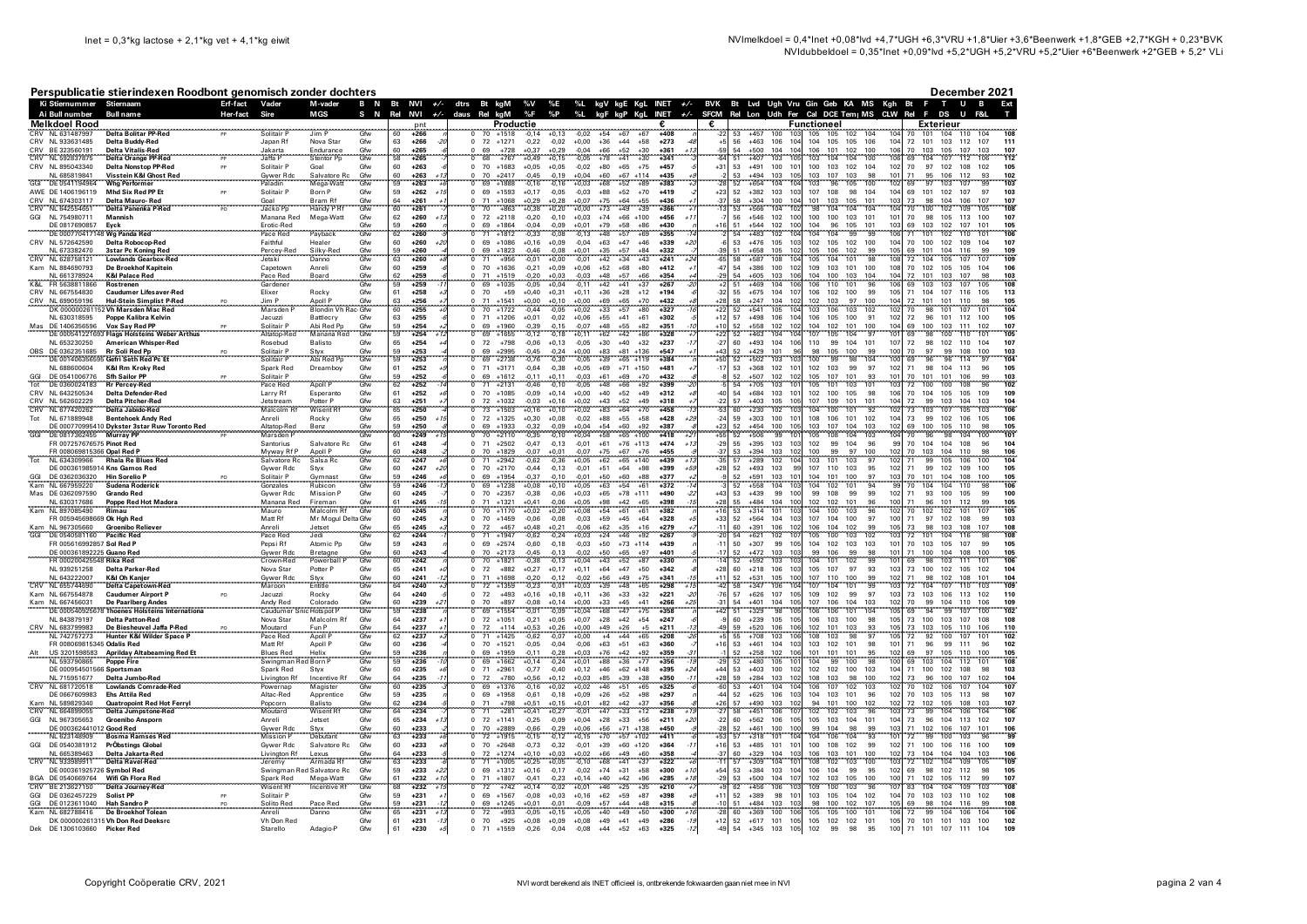## Perenublicatio stiorindovan Poodhont genomisch zonder dochters

|            |                                                        | Perspublicatie stierindexen Roodbont genomisch zonder dochters             |                            |                               |                                        |            |                                         |                                          |                  |                                        |                    |                    |                     |                                      |                                 |                      |                                                                                                                                        |                |                                           |                                            |                |                                     |                        |                                    |                              | December 2021                  |            |
|------------|--------------------------------------------------------|----------------------------------------------------------------------------|----------------------------|-------------------------------|----------------------------------------|------------|-----------------------------------------|------------------------------------------|------------------|----------------------------------------|--------------------|--------------------|---------------------|--------------------------------------|---------------------------------|----------------------|----------------------------------------------------------------------------------------------------------------------------------------|----------------|-------------------------------------------|--------------------------------------------|----------------|-------------------------------------|------------------------|------------------------------------|------------------------------|--------------------------------|------------|
|            | Ki Stiernummer Stiernaam<br>Ai Bull number             | Bull name                                                                  | Erf-fact Vader<br>Her-fact | Sire                          | M-vader<br><b>MGS</b>                  | S<br>N     | Rel                                     | B N Bt NVI +/- dtrs Bt kgM<br><b>NVI</b> | +/- daus Rel kgM |                                        |                    | %V %E<br>%F        | $\%P$               | %L                                   |                                 |                      | %L kgV kgE KgL INET +/- BVK Bt Lvd Ugh Vru Gin Geb KA MS Kgh Bt F<br>kgF kgP KgL INET +/- SFCM Rel Lon Udh Fer Cal DCE Tem IMS CLW Rel |                |                                           |                                            |                |                                     |                        |                                    | F<br>DS                      | T U B                          |            |
|            | <b>Melkdoel Rood</b>                                   |                                                                            |                            |                               |                                        |            |                                         | pnt                                      |                  |                                        | Productie          |                    |                     |                                      |                                 |                      |                                                                                                                                        | €              |                                           |                                            | Functioneel    |                                     |                        |                                    | Exterieur                    |                                |            |
| CRV        | NI 631487997<br>CRV NL 933631485                       | <b>Delta Bolitar PP-Red</b><br>Delta Buddy-Red                             |                            | Solitair F<br>Japan Rf        | Jim P<br>Nova Star                     | Gfw<br>Gfw | 60<br>63                                | $+266$<br>$+266$<br>-21                  |                  | $^{\circ}$<br>72                       | $+1518$<br>$+1271$ | $-0.14$<br>$-0.22$ | $+0.13$<br>$-0.02$  | $+54$<br>$-0.02$<br>$+0.00$<br>$+36$ | $+67$<br>$+44$                  | +67<br>$+58$         | $+405$<br>$+273$                                                                                                                       | -22<br>$+5$    | 53<br>$+457$<br>56<br>$+463$              | 10′<br>106<br>104                          | 105<br>104     | 105<br>102<br>105 105               | 104<br>106             | 104<br>72                          | 104<br>101<br>101<br>103 112 | 110<br>107                     | 108<br>111 |
|            | CRV BE 323560191                                       | <b>Delta Vitalis-Red</b>                                                   |                            | Jakarta                       | Endurance                              | Gfw        | 60                                      | $+265$                                   |                  |                                        | $+728$             | $+0.37$            | $+0.29$             | $-0.04$<br>$+66$                     | $+52$                           | $+30$                | $+361$<br>$+1$                                                                                                                         | -59            | 54<br>$+500$                              | 104<br>104                                 | 106            | 101<br>102                          | 100                    | 70<br>106                          | 103<br>105                   | 107<br>103                     | 107        |
| CRV        | NL 592837875                                           | <b>Delta Orange PP-Red</b>                                                 |                            | Jaffa P                       | Stentor Pp                             | Gfw        | 58                                      | $+265$                                   |                  | 68                                     | $+767$             | $+0.49$            | $+0.15$             | $-0.05$                              | $+78$<br>$+41$                  | $+30$                | $+341$                                                                                                                                 | ĥ4             | E1<br>$+407$                              | 103<br>105                                 | 103            | 104<br>104                          | 100                    | 106<br>6 <sup>c</sup>              | 107<br>104                   | 106<br>112                     | 112        |
|            | CRV NL 895043340<br>NL 685819841                       | <b>Delta Nonstop PP-Red</b><br>Visstein K&I Ghost Red                      | <b>DD</b>                  | Solitair P<br>Gywer Rdc       | Goal<br>Salvatore Ro                   | Gfw<br>Gfw | 60<br>60                                | $+263$<br>$+263$                         |                  | 0, 70<br>70                            | $+1683$<br>$+2417$ | $+0.05$<br>$-0,45$ | $+0.05$<br>$-0,19$  | $-0.02$<br>$+80$<br>$+0,04$<br>$+60$ | $+65$<br>$+67$                  | $+75$<br>$+114$      | $+457$<br>$+435$                                                                                                                       | $+31$          | 53<br>53<br>$+494$                        | +491 100<br>101<br>103<br>105              | 100<br>103     | 103<br>102<br>107<br>103            | 104                    | 102<br>70<br>101<br>71             | 97 102 108<br>95<br>106      | 102<br>112<br>93               | 105<br>102 |
| GGI        | DE 0541194964                                          | <b>Wha Performer</b>                                                       |                            | Paladin                       | Mega-Watt                              | Gfw        | 59                                      | $+263$                                   |                  | 69                                     | $+1888$            | $-0.16$            | $-0.16$             | $+68$<br>$+0.03$                     | $+52$                           | $+89$                | $+383$                                                                                                                                 |                | 52<br>$+654$                              | 104<br>104                                 | 103            | 96<br>105                           | 100                    | 102<br>6 <sup>c</sup>              | 97<br>103                    | 107<br>90                      | 103        |
|            | AWE DE 1406196119                                      | Mhd Six Red PP Et                                                          | PP                         | Solitair P                    | Born P                                 | Gfw        | 59                                      | $+262$<br>$+1$                           |                  | 69<br>$^{\circ}$                       | $+1593$            | $+0,17$            | $-0,05$             | $-0,03$<br>$+88$                     | $+52$                           | $+70$                | $+419$                                                                                                                                 | $+23$          | 52<br>$+382$                              | 103<br>103                                 | 107            | 108<br>98                           | 104                    | 104<br>69                          | 101<br>102                   | 107<br>97                      | 103        |
|            | CRV NL 674303117<br>CRV NL 642554651                   | Delta Mauro-Red<br>Delta Panenka P-Red                                     | PO                         | Goal<br>Jacko Po              | Bram Rf<br>Handy P Rf                  | Gfw<br>Gfw | 64<br>60                                | $+261$<br>$+261$                         |                  | 71<br>70<br>$^{\circ}$                 | $+1068$<br>$+863$  | $+0,29$<br>$+0.38$ | $+0,28$<br>$+0.20$  | $+0,07$<br>$+75$<br>$+73$<br>$+0.00$ | $+64$<br>$+49$                  | $+55$<br>$+39$       | $+436$<br>$+366$                                                                                                                       | $-37$          | 58<br>$+304$<br>53<br>$+566$              | 100<br>104<br>104<br>102                   | 101<br>98      | 103<br>105<br>104<br>104            | 101<br>104             | 73<br>103<br>10 <sub>4</sub><br>70 | 98<br>104<br>100<br>102      | 106<br>107<br>105<br>109       | 107<br>108 |
|            | GGI NL 754980711                                       | Mannish                                                                    |                            | Manana Red                    | Mega-Watt                              | Gfw        | 62                                      | $+260$                                   |                  | $\overline{0}$<br>72                   | $+2118$            | $-0,20$            | $-0,10$             | $+0,03$<br>$+74$                     |                                 | $+66$ +100           | $+456$<br>$+1$                                                                                                                         |                | 56<br>$+546$                              | 102<br>100                                 | 100            | 100<br>103                          | 101                    | 101<br>70                          | 98<br>105                    | 113<br>100                     | 107        |
|            | DE 0817690857                                          | Eyck<br>DE 000770417148 Wa Panda Red                                       |                            | Erotic-Red                    |                                        | Gfw<br>Gfw | 59<br>62                                | $+260$<br>$+260$                         |                  | 69<br>71                               | $+1864$<br>$+1812$ | $-0,04$            | $-0,09$             | $+0,01$<br>$+79$<br>$+48$            | $+58$                           | $+86$<br>$+69$       | $+430$<br>$+355$                                                                                                                       |                | 51<br>$+544$<br>54<br>$+483$              | 102<br>100<br>104                          | 104<br>104     | 96<br>105<br>99<br>104              | 101<br>99              | 69<br>103<br>71<br>106             | 103<br>102<br>101            | 107<br>101<br>101              | 105<br>106 |
|            | CRV NL 572642590                                       | Delta Robocop-Red                                                          |                            | Pace Red<br>Faithful          | Payback<br>Healer                      | Gfw        | 60                                      | $+260$<br>$+20$                          |                  | $\Omega$<br>69<br>$^{\circ}$           | $+1086$            | $-0.33$<br>$+0,16$ | $-0.08$<br>$+0,09$  | $-0.13$<br>$-0,04$<br>$+63$          | $+57$<br>$+47$                  | $+46$                | $+339$                                                                                                                                 |                | 53<br>$+476$                              | 102<br>105<br>103                          | 102            | 105<br>102                          | 100                    | 104<br>70                          | 102<br>100<br>102            | 110<br>109<br>104              | 107        |
|            | NL 673382470                                           | <b>3star Pc Koning Red</b>                                                 |                            | Percey-Red                    | Silky-Red                              | Gfw        | 59                                      | $+260$                                   |                  | 69                                     | $+1823$            | $-0,46$            | $-0,08$             | $+0.01$<br>$+35$                     | $+57$                           | $+84$                | $+332$                                                                                                                                 | 39             | 51<br>$+658$                              | 105<br>102                                 | 105            | 106<br>102                          | 99                     | 105<br>69                          | 101<br>104                   | 116<br>99                      | 109        |
| CRV        | NI 628758121<br>Kam NL 884690793                       | <b>Lowlands Gearbox-Red</b><br>De Broekhof Kapitein                        |                            | <b>Jetski</b><br>Capetown     | Danno<br>Anreli                        | Gfw<br>Gfw | 63<br>60                                | $+260$<br>$+259$                         |                  | 71<br>ō<br>$0$ 70                      | $+956$<br>$+1636$  | $-0.01$<br>$-0,21$ | $+0.00$<br>$+0,09$  | $-0.01$<br>$+42$<br>$+0,06$<br>$+52$ | $+34$<br>$+68$                  | $+43$<br>$+80$       | $+241$<br>$+412$                                                                                                                       | 65<br>$-47$    | 58<br>$+587$<br>54<br>$+386$              | 108<br>104<br>100<br>102                   | 105<br>109     | 101<br>104<br>103<br>101            | 98<br>100              | 72<br>108                          | 104<br>105<br>70 102 105     | 107<br>107<br>105<br>104       | 109<br>106 |
|            | NL 661378924                                           | <b>K&amp;I Palace Red</b>                                                  |                            | Pace Red                      | Board                                  | Gfw        | 62                                      | $+259$                                   |                  | 71                                     | $+1519$            | $-0.20$            | $+0.03$             | $+48$<br>$-0.03$                     | $+57$                           | $+66$                | $+354$                                                                                                                                 | $-29$          | $+605$<br>54                              | 106<br>103                                 | 104            | 100<br>103                          | 104                    | $72\,$<br>104                      | 101<br>103                   | 107<br>98                      | 103        |
| K&L        | FR 5638811866                                          | <b>Rostrenen</b>                                                           |                            | Gardener                      |                                        | Gfw        | 59                                      | $+259$                                   |                  | 69<br>ō                                | $+1035$            | $-0.05$            | $+0.04$             | $+42$<br>$-0.11$                     | $+41$                           | $+37$                | $+267$                                                                                                                                 |                | 51<br>$+469$                              | 106<br>104                                 | 106            | 101<br>110                          | 96                     | 69                                 | 103<br>103                   | 105<br>107                     | 108        |
|            | CRV NL 667554830<br>CRV NL 699059196                   | <b>Caudumer Lifesaver-Red</b><br><b>Hul-Stein Simplist P-Red</b>           |                            | Elixer<br>Jim P               | Rocky                                  | Gfw        | 61<br>63                                | $+258$<br>$+256$                         |                  | $\mathbf 0$<br>70                      | $+59$<br>$+1541$   | $+0,40$<br>$+0,00$ | $+0,31$<br>$+0,10$  | $+0.11$<br>$+36$<br>$+0.00$          | $+28$<br>$+69$<br>$+65$         | $+12$<br>$+70$       | $+194$<br>$+432$                                                                                                                       | $-32$<br>$+28$ | 55<br>$+675$<br>58<br>$+247$              | 104<br>107<br>104<br>102                   | 106<br>102     | 102<br>100<br>103<br>97             | 99<br>100              | 105<br>71<br>104<br>$72\,$         | 104 107 116<br>101<br>101    | 105<br>110                     | 113<br>105 |
|            |                                                        | DK 000000261152 Vh Marsden Mac Red                                         |                            | Marsden                       | Apoll P Gfw<br>Blondin Vh Rac Gfw      |            | 60                                      | $+255$                                   |                  | 70                                     | $+1722$            | $-0.44$            | 0.05                | $+33$<br>+0.02                       | $+57$                           | $+80$                | $+327$                                                                                                                                 | $+22$          | 52<br>$+541$                              | 104<br>105                                 | 103            | 106<br>103                          | 102                    | 70                                 | 98<br>101                    | 101<br>107                     | 104        |
|            | NL 630318595                                           | Poppe Kalibra Kelvin                                                       |                            | Jacuzzi                       | Battlecry                              | Gfw        | 63                                      | $+255$                                   |                  | 0, 71                                  | $+1206$            | $+0,01$            | $-0,02$             | $+0,06$                              | $+55$<br>$+41$                  | $+61$                | $+302$                                                                                                                                 | $+12$          | 57<br>$+498$                              | 106<br>104                                 | 106            | 105<br>100                          | 91                     | 102<br>72                          | 96<br>101 112                | 100                            | 105        |
| Mas        | DE 1406356596                                          | Vox Sav Red PP<br>DE 000541221693 Flags Holsteins Weber Arthus             |                            | Solitair F<br>Altatop-Rec     | Abi Red Pp<br>Manana Red               | Gfw<br>Gfw | $\begin{array}{c} 59 \\ 59 \end{array}$ | $+254$<br>$+254$                         |                  | 69<br>69                               | $+1960$<br>$+1655$ | $-0.39$<br>$-0.12$ | $-0,15$<br>$-0,18$  | $-0.07$<br>$+48$<br>$+62$<br>$+0.11$ | $+55$<br>$+42$                  | $+82$<br>$+86$       | $+351$<br>$+328$                                                                                                                       | $+22$          | 52<br>$+558$<br>52<br>$+463$              | 102<br>102<br>104<br>104                   | 104<br>107     | 102<br>101<br>105<br>104            | 100<br>$\overline{97}$ | 69<br>104<br>69                    | 100<br>103<br>98<br>100      | 111<br>102<br>110<br>101       | 107<br>105 |
|            | NL 653230250                                           | American Whisper-Red                                                       |                            | Rosebud                       | Balisto                                | Gfw        | 65                                      | $+254$                                   |                  | 72<br>$\Omega$                         | $+798$             | $-0.06$            | $+0,13$             | $-0,05$<br>$+30$                     | $+40$                           | $+32$                | $+237$                                                                                                                                 | $-27$          | 60<br>$+493$                              | 104<br>106                                 | 110            | 99<br>104                           | 101                    | 107<br>72                          | 98<br>102                    | 110<br>104                     | 107        |
|            | DE 0362351685                                          | Rr Soli Red Pp                                                             |                            | Solitair P<br>Solitair P      | Styx<br>Abi Red Po                     | Gfw<br>Gfw | $\frac{59}{59}$                         | $+253$<br>$+253$                         |                  | 69<br>69                               | $+2995$            | $-0,45$            | $-0,24$<br>$-0,30$  | $+0,00$<br>$-0,05$<br>$+83$<br>$+39$ | $+81$                           | $+136$<br>$+119$     | $+547$<br>$+384$                                                                                                                       |                | 52<br>$+429$                              | 101<br>10 <sup>2</sup>                     | 98<br>100      | 105<br>100<br>98<br>99              | 99                     | 100<br>70                          | 99<br>96<br>96               | 108<br>100<br>97<br>114        | 103<br>104 |
|            | DE 00140635659<br>NL 688600604                         | 35 Gefri Seth Red Pc Et<br>K&I Rm Kroky Red                                |                            | Spark Red                     | Dreamboy                               | Gfw        | 61                                      | $+252$                                   |                  | 71<br>$\Omega$                         | $+2738$<br>$+3171$ | $-0,76$<br>$-0,64$ | $-0,38$             | $+0,05$<br>$+69$                     | $+65$                           | $+71$ +150           | $+481$                                                                                                                                 | $-17$          | 52<br>$+502$<br>53<br>$+368$              | 103<br>102<br>101                          | 102            | 103<br>99                           | 104<br>97              | 69<br>102<br>71                    | 98<br>104                    | 113<br>96                      | 105        |
|            | DE 0541006776                                          | <b>Sfh Sailor PP</b>                                                       |                            | Solitair P                    |                                        | Gfw<br>Gfw | $\frac{59}{62}$                         | $+252$                                   |                  | 69                                     | $+1612$            | $-0,11$            | $+0,11$             | $-0,03$<br>$+61$<br>$+48$            | $+69$                           | $+70$                | $+432$                                                                                                                                 |                | 52<br>$+507$                              | 102<br>102                                 | 105            | 107<br>101                          | 93                     | 70<br>101                          | 101<br>101                   | 106                            | 103        |
|            | DE 0360024183                                          | <b>Rr Percey-Red</b>                                                       |                            | Pace Red                      | Apoll P                                |            |                                         | $+252$<br>$+252$                         |                  | 71<br>70<br>0                          | 12131              |                    |                     |                                      | <b>LGF</b>                      | $+92$<br>$+49$       | $+399$<br>$+312$                                                                                                                       | $-40$          | 'nл<br>$+705$<br>54<br>$+684$             | 103<br>in.                                 | 105            | 101<br>103<br>100                   | 101<br>98              | 72<br>106                          | 100<br>100                   | 108                            | 102        |
|            | CRV NL 643250534                                       | <b>Delta Defender-Red</b><br><b>Delta Pitcher-Red</b>                      |                            | Larry Rf                      | Esperanto                              | Gfw        | 61                                      |                                          |                  |                                        | $+1085$<br>$+1032$ | $-0,09$<br>$-0.03$ | $+0,14$             | $+0,00$<br>$+40$                     | $+52$                           | $+49$                | $+318$                                                                                                                                 | $^{22}$        | 57<br>$+403$                              | 103<br>101<br>105<br>105                   | 102<br>107     | 105<br>101<br>109                   | 10 <sup>1</sup>        | 70<br>72<br>104                    | 104<br>105                   | 105<br>109<br>104<br>103       | 109        |
|            | CRV NL 562602229<br>CRV NL 677420262                   | Delta Jabido-Red                                                           |                            | Jetstream<br>Malcolm Rf       | Potter P<br>Wisent Rf                  | Gfw<br>Gfw | $\begin{array}{c} 63 \\ 65 \end{array}$ | $+251$<br>$+250$                         |                  | $\frac{72}{73}$                        | $+1503$            | $+0.16$            | $+0,16$<br>+0,10    | $+0,02$<br>$+0,02$<br>$^{+43}_{+83}$ | $+52$<br>$+64$                  | $+70$                | $+458$                                                                                                                                 |                | $+230$<br>60                              | 102<br>10                                  | 104            | 100<br>101                          | 92                     | 73                                 | 99<br>103<br>103<br>107      | 105<br>103                     | 104<br>106 |
| Tot        | NL 671889948                                           | <b>Bentehoek Andy Red</b><br>DE 000770995410 Dykster 3star Ruw Toronto Red |                            | Anreli<br>Altatop-Red         | Rocky<br>Benz                          | Gfw<br>Gfw | 65<br>59                                | $+250$<br>$+250$                         |                  | $\overline{0}$<br>72<br>69<br>0        | $+1325$<br>$+1933$ | $+0,30$<br>$-0.32$ | $+0,08$<br>$-0.09$  | $-0,02$<br>$+88$<br>$+0.04$<br>$+54$ | $+55$<br>$+60$                  | $+58$<br>$+92$       | $+428$<br>÷ź<br>$+387$                                                                                                                 | $-24$<br>$+23$ | 59<br>$+303$<br>52                        | 100<br>101<br>$+454$ 100<br>105            | 108<br>103 107 | 106<br>101<br>104                   | 102<br>103             | 104<br>73<br>102<br>69             | 99<br>102<br>100 105 110     | 106<br>105<br>98               | 106<br>105 |
| GG         | DE 0817362455 Murray PF                                |                                                                            |                            | Marsden F                     |                                        | Gfw        | 60                                      | $+249$                                   |                  | $\overline{0}$<br>70                   | $+2110$            | $-0.35$            | $-0.10$             | $+0.04$<br>$+58$                     |                                 | $+65$ +100           | $+418$<br>45                                                                                                                           | $+55$          | 52<br>$+506$                              | 99<br>101                                  | 105            | 104<br>108                          | 103                    | 104<br>70                          | 96<br>98                     | 100<br>104                     | 101        |
|            | FR 007257676575 Pinot Red                              |                                                                            |                            | Santorius                     | Salvatore Rc                           | Gfw        | 61                                      | $+248$                                   |                  | 0<br>71                                | $+2502$            | $-0.47$            | $-0.13$             | $-0.01$<br>$+61$                     |                                 | $+76$ +113           | $+474$<br>$+1$                                                                                                                         | $-29$          | 55<br>$+395$                              | 103<br>103                                 | 102            | 104<br>99                           | 96                     | 99<br>70                           | 104<br>104                   | 108<br>96                      | 104        |
| Tot        | FR 008069815366 Opal Red P<br>NI 634309966             | <b>Rhala Re Blues Red</b>                                                  |                            | Myway Rf P<br>Salvatore Rc    | Apoll P<br>Salsa Rc                    | Gfw<br>Gfw | 60<br>62                                | $+248$<br>$+247$                         |                  | 70<br>0.<br>71                         | $+1829$<br>$+2942$ | $-0.07$<br>$-0.62$ | $+0.01$<br>$-0.36$  | $-0.07$<br>$+75$<br>$+0.05$<br>$+62$ | $+67$                           | $+76$<br>$+65 +140$  | $+455$<br>$+439$<br>$+1$                                                                                                               | $-37$<br>35    | 53<br>$+394$<br>57<br>$+289$              | 103<br>102<br>102<br>104                   | 100<br>103     | 97<br>99<br>101<br>103              | 100<br>97              | 70<br>102<br>102<br>71             | 103<br>104<br>105<br>99      | 110<br>98<br>100<br>106        | 106<br>104 |
|            |                                                        | DE 000361985914 Kns Gamos Red                                              |                            | Gywer Rdc                     | Stvx                                   | Gfw        | 60                                      | $+247$<br>$+20$                          |                  | $\mathbf 0$<br>70                      | $+2170$            | $-0.44$            | $-0,13$             | $-0.01$<br>$+51$                     | $+64$                           | $+98$                | $+399$<br>$+5$                                                                                                                         | $+28$          | 52<br>$+493$                              | 99<br>103                                  | 107            | 103<br>110                          | 95                     | 71<br>102                          | 99<br>102                    | 109<br>100                     | 105        |
| GGI<br>Kam | DE 0362036320<br>NI 667959220                          | <b>Hin Sorelio P</b>                                                       |                            | Solitair P                    | Gymnast                                | Gfw<br>Gfw | 59<br>59                                | $+246$                                   |                  | 69                                     | $+1954$            | $-0,37$            | $-0.10$             | $-0.01$<br>$+50$<br>$+63$            | $+60$<br>$+54$                  | $+88$<br>161         | $+377$                                                                                                                                 |                | $+591$<br>52<br>52                        | 101<br>103<br>10 <sup>1</sup>              | 104<br>104     | 101<br>100                          | 97<br>94               | 70<br>103<br>70                    | 101<br>104<br>104<br>104     | 108<br>100<br><b>gs</b>        | 105<br>106 |
|            | Mas DE 0362097590                                      | Sudena Roderick<br><b>Grando Red</b>                                       |                            | Gonzales<br>Gywer Rdc         | Rubicor<br><b>Mission P</b>            | Gfw        | 60                                      | $+246$<br>$+245$                         |                  | 69<br>$\mathbf 0$<br>70                | $+1238$<br>$+2357$ | $+0.08$<br>$-0.38$ | $+0,10$<br>$-0.06$  | $+0.05$<br>$+0.03$                   | $+65$<br>$+78$                  | $+111$               | $+372$<br>$+490$                                                                                                                       | $+43$          | $+558$<br>53<br>$+439$                    | 104<br>99<br>100                           | 99             | 102<br>101<br>108<br>99             | 99                     | 71<br>102                          | 93<br>100                    | 110<br>99<br>105               | 100        |
|            | NL 630317686<br>NL 897085490                           | Poppe Red Hot Madora<br>Rimau                                              |                            | Manana Red                    | Fireman<br>Malcolm Rf                  | Gfw<br>Gfw | 61                                      | $+245$                                   |                  |                                        | $+1321$            | $+0,41$            | $-0,06$<br>$+0,20$  | $+0,05$                              | $+98$<br>$+54$<br>$+42$<br>+61  | $+65$                | $+398$                                                                                                                                 | $+28$          | 55<br>$+484$                              | 100<br>104                                 | 102            | 102<br>101                          | $\frac{96}{96}$        | 71<br>100                          | 96<br>101                    | 112<br>$\frac{99}{107}$        | 105        |
|            | FR 005945698669 Ok Hgh Red                             |                                                                            |                            | Mauro<br>Matt Rf              |                                        |            | 60<br>60                                | $+245$<br>$+245$                         |                  | 70 <sup>°</sup><br>$\Omega$<br>70      | $+1170$<br>$+1459$ | $+0,02$<br>$-0.06$ | $-0,08$             | $+0,08$<br>$-0,03$                   | $+59$<br>$+45$                  | $+61$<br>$+64$       | $+382$<br>$+328$                                                                                                                       | $+33$          | $\overline{53}$<br>$+314$<br>52<br>$+564$ | 103<br>101<br>104<br>103                   | 104<br>107     | 100<br>103<br>104<br>100            | 97                     | 70<br>71<br>100                    | 102<br>102<br>97<br>102      | 101<br>108<br>99               | 105<br>103 |
|            |                                                        |                                                                            |                            |                               | Mr Mogul Delta Gfw                     |            |                                         | $+245$                                   |                  |                                        | $+457$             | $+0,48$            |                     |                                      |                                 |                      | +279                                                                                                                                   |                | 60<br>$+391$                              | 102<br>106                                 | 106            | 104                                 |                        |                                    | 98<br>103                    |                                | 108        |
|            | NL 967305660<br>DE 0540581160                          | Groenibo Reliever<br>Pacific Red                                           |                            | Anreli<br>Pace Red            | Jetset<br>Jedi                         | Gfw<br>Gfw | $\begin{array}{c} 65 \\ 62 \end{array}$ | $-244$                                   |                  |                                        | $+1947$            | $-0.62$            | $+0,21$<br>$-0.24$  | $-0,06$<br>$+0,03$<br>$+62$<br>$+24$ | $+35$<br>$+46$                  | $+16$<br>$+92$       | $-267$                                                                                                                                 |                | 54<br>$+621$                              | 107<br>102                                 | 105            | $\frac{102}{103}$<br>100            | 99<br>102              | 73<br>72                           | 101<br>104                   | 108<br>116<br>$\frac{107}{98}$ | 108        |
|            | FR 005616992857 Sol Red P<br>DF 000361892225 Guano Red |                                                                            |                            | Pepsi Rf<br>Gywer Rdc         | Atomic Pp<br>Bretagne                  | Gfw<br>Gfw | 59<br>60                                | $+243$<br>$+243$                         |                  | $\Omega$<br>69<br>70<br>$\Omega$       | $+2574$<br>$+2173$ | $-0.60$<br>$-0.45$ | $-0,18$<br>$-0.13$  | $-0.03$<br>$+50$<br>$-0.02$<br>$+50$ | $+65$                           | $+73$ +114<br>$+97$  | $+439$<br>$+401$                                                                                                                       | $-11$<br>.17   | 50<br>$+307$<br>52                        | 99<br>10 <sub>F</sub><br>$+472$ 103<br>103 | 104<br>99      | 102<br>103<br>106<br>99             | 103<br>98              | 101<br>70<br>71<br>101             | 103<br>105<br>100 104        | 107<br>99<br>108<br>100        | 105<br>105 |
|            | FR 000200425548 Rika Red                               |                                                                            |                            | Crown-Red                     | Powerball                              | Gfw        | 60                                      | $+242$                                   |                  | 'n<br>70                               | $+1821$            | $-0.38$            | $-0,13$             | $+0,04$<br>$+43$                     | $+52$                           | $+87$                | $+330$                                                                                                                                 |                | 52<br>$+592$                              | 103<br>103                                 | 104            | 101<br>102                          | 99                     | 101<br>69                          | 98<br>103                    | 101<br>111                     | 106        |
|            | NL 939251258                                           | Delta Parker-Red                                                           |                            | Nova Star                     | Potter P                               | Gfw        | 65                                      | $+241$                                   |                  | $\mathbf 0$<br>72                      | $+882$             | $+0.27$            | $+0.17$             | $+0.11$<br>$+64$                     | $+47$                           | $+50$                | $+342$                                                                                                                                 | $+28$          | 60<br>$+218$                              | 106<br>103                                 | 105            | 107<br>97                           | 93                     | 103<br>73                          | 100<br>102                   | 105<br>102                     | 104        |
|            | NL 643222007<br>CRV NL 655744690                       | <b>K&amp;I Oh Kanier</b><br><b>Delta Capetown-Red</b>                      |                            | <b>Gywer Rdc</b><br>Maroon    | Stvx<br>Entitle                        | Gfw<br>Gfw | 60<br>64                                | $+241$<br>$+240$                         |                  | $^{\circ}$<br>71<br>0<br>72            | $+1698$<br>$+1359$ | $-0.20$<br>$-0.23$ | $-0.12$<br>$-0,01$  | $-0.02$<br>$+56$<br>$+0,03$<br>$+39$ | $+49$<br>$+48$                  | $+75$<br>$+65$       | $+341$<br>$+298$<br>$+1$                                                                                                               | $+11$<br>$-42$ | 52<br>$+531$<br>$+347$<br>58              | 100<br>105<br>104<br>106                   | 107<br>107     | 110<br>100<br>104<br>101            | 99<br>99               | 102<br>71<br>103<br>72             | 98<br>102<br>104<br>107      | 108<br>101<br>110<br>103       | 104<br>109 |
|            | Kam NL 667554878                                       | <b>Caudumer Airport P</b>                                                  |                            | Jacuzzi                       | Rocky                                  | Gfw        | 64                                      | $+240$                                   |                  | $\mathbf 0$<br>72                      | $+493$             | $+0.16$            | $+0.18$             | $+0.11$<br>$+36$                     | $+33$                           | $+32$                | $+221$<br>$\cdot$ <sup>2</sup>                                                                                                         | $-76$          | 57<br>$+626$                              | 107<br>105                                 | 109            | 102<br>99                           | 97                     | 103<br>73                          | 103<br>106                   | 113<br>102                     | 110        |
|            | Kam NL 667456031<br>DE 0005409256                      | De Paarlberg Andes<br><sup>8</sup> Thoenes Holsteins Internationa          |                            | Andy Red<br>Caudumer          | Colorado<br>ic Hots pot F              | Gfw<br>Gfw | 60<br>59                                | $+239$<br>$+238$                         |                  | 70<br>69                               | $+897$<br>$+1554$  | $-0.08$<br>$-0.01$ | $+0.14$<br>$-0.09$  | $+0.00$<br>$+33$<br>$+0,04$<br>$+68$ | $+45$<br>$+47$                  | $+41$<br>$+75$       | $+266$<br>42<br>$+358$                                                                                                                 | $-31$<br>$+42$ | 54<br>$+401$<br>$+329$<br>51              | 105<br>104<br>98<br>105                    | 107<br>106     | 106<br>104<br>106<br>101            | 103<br>104             | 102<br>70<br>105<br>69             | 99<br>104<br>94<br>99        | 110<br>106<br>100<br>107       | 109<br>102 |
|            | NL 843879197                                           | <b>Delta Patton-Red</b>                                                    |                            | Nova Star                     | Malcolm Rf                             | Gfw        | 64                                      | $+237$                                   |                  | $\mathbf 0$<br>72                      | $+1051$            | $-0.21$            | $+0.05$             | $+0.07$<br>$+28$                     | $+42$                           | $+54$                | $+247$                                                                                                                                 | -9             | 60<br>$+239$                              | 105<br>105                                 | 106            | 103<br>100                          | 98                     | 73<br>105                          | 100<br>103                   | 107<br>108                     | 108        |
| CRV        | NI 683799983                                           | De Biesheuvel Jaffa P-Red                                                  |                            | Moutard                       | Fun P                                  | Gfw<br>Gfw | $\frac{64}{62}$                         | $+237$                                   |                  | 72                                     | $+114$             | $+0.53$            | $+0.26$             | $+0,00$                              | $^{+49}_{+4}$<br>$+26$<br>$+44$ | $+5$                 | $+211$                                                                                                                                 | 49             | 59<br>$+520$                              | 106<br>106                                 | 102            | 101<br>103                          | 93                     | 73<br>105                          | 103<br>105                   | 110<br>106                     | 110        |
|            | NL 742757273<br>FR 008069815345 Odalis Red             | Hunter K&I Wilder Space P                                                  |                            | Pace Red<br>Matt Rf           | <b>Apoll P</b><br>Apoll P              | Gfw        | 60                                      | $-227$<br>$+236$                         |                  | $\mathbf 0$<br>70                      | $+1425$<br>$+1521$ | $-0,62$<br>$-0.05$ | $-0.04$             | $-0.06$<br>$+63$                     | $+51$                           | $+65$<br>$+63$       | $+208$<br>$+360$                                                                                                                       | $+16$          | 55<br>$+708$<br>53<br>$+461$              | 103<br>106<br>104<br>103                   | 108<br>103     | $\frac{1}{98}$<br>103<br>102<br>101 | $\frac{1}{97}$<br>98   | 72<br>71<br>101                    | 92<br>100<br>96<br>99        | 101<br>107<br>111<br>96        | 102<br>102 |
|            | US 3201598583                                          | <b>Aprilday Altabeaming Red Et</b>                                         |                            | <b>Blues Red</b>              | Helix                                  | Gfw        | 59                                      | $+236$                                   |                  | 69<br>$\Omega$                         | $+1959$            | $-0.11$            | $-0.28$             | $+0.03$<br>$+76$                     | $+42$                           | $+92$                | $+359$                                                                                                                                 |                | $+258$<br>52                              | 106<br>102                                 | 101            | 101<br>101                          | 95                     | 102<br>69                          | 97<br>105                    | 110<br>100                     | 105        |
|            | NL 593790865                                           | <b>Poppe Fire</b>                                                          |                            | Swingman Red Born P           |                                        | Gfw        | 59                                      | $+236$                                   |                  | 'n<br>69                               | $+1662$            | $+0.14$            | $-0,24$             | $+0,01$                              | $+88$<br>$+36$                  | $+77$                | $+356$                                                                                                                                 |                | $+480$<br>52                              | 105<br>101                                 | 104            | 99<br>100                           | 98                     | 100<br>69                          | 103<br>104                   | 101<br>112                     | 108        |
|            | DE 000954501566 Sportsman<br>NI 715951677              | Delta Jumbo-Red                                                            |                            | Spark Red<br>Livington Rf     | Styx<br><b>Incentive Rf</b>            | Gfw<br>Gfw | 60<br>64                                | $+235$<br>$+235$                         |                  | 71<br>$\Omega$<br>$\Omega$<br>72       | $+2961$<br>$+780$  | $-0.77$<br>$+0.56$ | $-0.40$<br>$+0.12$  | $+46$<br>$+0.12$<br>$+85$<br>$+0.03$ | $+39$                           | $+62$ +148<br>$+38$  | $+395$<br>$+2$<br>$+350$                                                                                                               | $+44$<br>$+28$ | 53<br>$+403$<br>59<br>$+284$              | 100<br>102<br>102<br>103                   | 102<br>108     | 102<br>100<br>98<br>103             | 103<br>100             | 104<br>71<br>102<br>73             | 100<br>102<br>96<br>100      | 108<br>98<br>107<br>102        | 103<br>104 |
| CRV        | NI 681720518                                           | <b>Lowlands Comrade-Red</b>                                                |                            | Powernap                      | Magister                               | Gfw        | 60                                      | $-235$                                   |                  | 69                                     | $+1376$            | $-0.16$            | $+0,02$             | $+0,02$<br>$\pm 46$                  | $+51$                           | $+65$                | $+325$                                                                                                                                 |                | $+401$<br>53                              | 104<br>104                                 | 106            | 102<br>107                          | 103                    | 102<br>70                          | 102<br>106                   | 104<br>107                     | 107        |
|            | DF 0667609983                                          | <b>Ehs Attila Red</b>                                                      |                            | Altac-Red                     | Apprentice                             | Gfw        | 59                                      | $+235$                                   |                  | 69<br>$\Omega$                         | $+1958$            | $-0.61$            | $-0,18$             | $+0,09$<br>$+26$                     | $+52$                           | $+98$                | $+297$                                                                                                                                 | $-44$          | 52<br>$+625$                              | 106<br>10 <sup>5</sup>                     | 104            | 103<br>101                          | 96                     | 102<br>70                          | 103<br>105                   | 113<br>98                      | 107        |
| CRV        | Kam NJ 589829340<br>NL 664899055                       | <b>Quatropoint Red Hot Ferryl</b><br>Delta Jumpstone-Rec                   |                            | Popcorn<br>Moutard            | <b>Balisto</b><br>Wisent Rf            | Gfw<br>Gfw | 62<br>64                                | $+234$<br>$+234$                         |                  | $\Omega$<br>71<br>$\overline{0}$<br>71 | $+798$<br>$+281$   | $+0.51$<br>$+0.41$ | $+0.15$<br>$+0,27$  | $+82$<br>$+0.01$<br>$+47$<br>$-0.01$ | $+42$<br>$+33$                  | $+37$<br>$+12$       | $+356$<br>$+238$                                                                                                                       | $+26$<br>$-27$ | 57<br>$+490$<br>58<br>$+451$              | 102<br>103<br>106<br>107                   | 94<br>102      | 101<br>100<br>103<br>102            | 102<br><b>QF</b>       | 72<br>102<br>103<br>73             | 102<br>105<br>99<br>104      | 103<br>108<br>104<br>106       | 107<br>106 |
| GGI        | NI 967305653                                           | <b>Groenibo Ansporn</b>                                                    |                            | Anreli                        | Jetset                                 | Gfw        | 65                                      | $+234$                                   |                  | $\Omega$<br>72                         | $+1141$            | $-0.25$            | $-0,09$             | $+0.04$<br>$+28$                     | $+33$                           | $+56$                | $+211$<br>$+2i$                                                                                                                        | $-22$          | 60<br>$+562$                              | 106<br>105                                 | 105            | 103<br>104                          | 101                    | 104<br>73                          | 96<br>104                    | 113<br>102                     | 107        |
|            | DF 000362441012 Good Red                               |                                                                            |                            | Gywer Rdd                     | Stvx                                   | Gfw        | 60                                      | $+233$                                   |                  | 70<br>$\Omega$                         | $+2889$            | $-0.66$            | $-0.29$             | $+0.06$<br>$+56$                     | $+71$                           | $+138$               | $+450$                                                                                                                                 | $-28$          | 52<br>$+461$                              | 100<br>100                                 | 99             | 98<br>104                           | 99                     | 71<br>103<br>10 <sup>1</sup>       | 102 106                      | 107<br>101<br>`Q£              | 106        |
| GGI        | NL 623148909<br>DE 0540381912                          | <b>Bosma Ramses Red</b><br><b>PrÖbstings Global</b>                        |                            | <b>Mission P</b><br>Gywer Rdc | Debutant<br>Salvatore Rc               | Gfw<br>Gfw | 63<br>60                                | $+233$<br>$+233$                         |                  | 72<br>ö<br>$\mathbf 0$<br>70           | $+1915$<br>$+2648$ | $-0,15$<br>$-0.73$ | $-0, 12$<br>$-0,32$ | $+0,15$<br>$+70$<br>$-0.01$<br>$+39$ | $+57$                           | $+102$<br>$+60 +120$ | $+41$<br>$+364$                                                                                                                        | $+53$<br>$+16$ | 57<br>$+318$<br>53<br>$+485$              | 101<br>104<br>101<br>101                   | 104<br>100     | 106<br>104<br>108<br>102            | 93<br>99               | 72<br>102<br>71                    | 99<br>100<br>100<br>106      | 103<br>116<br>100              | 99<br>109  |
|            | NI 665389463                                           | Delta Jakarta-Red                                                          |                            | Livington Rf                  | Lexus                                  | Gfw        | 64                                      | $+233$                                   |                  | 72                                     | $+1274$            | $+0.10$            | $+0.03$             | $+0.02$<br>$+66$                     | $+49$                           | $+60$                | $+358$                                                                                                                                 | $-37$          | 60<br>$+329$                              | 104<br>103                                 | 106            | 101<br>103                          | 100                    | 73<br>102                          | 104<br>104                   | 104<br>103                     | 106        |
| CRV        | NL 933989911<br>DE 000361925726 Symbol Red             | <b>Delta Ravel-Red</b>                                                     |                            | Jeremy                        | Armada Rf<br>Swingman Red Salvatore Rc | Gfw<br>Gfw | 63<br>59                                | $+233$<br>$+233$<br>$+2$                 |                  | 71<br>69<br>$\Omega$                   | $+1005$<br>$+1312$ | $+0,25$<br>$+0.16$ | $+0,05$<br>$-0.17$  | $-0,10$<br>$+74$<br>$-0.02$          | $+68$<br>$+41$<br>$+31$         | $+37$<br>$+58$       | $+322$<br>$+300$<br>$+1$                                                                                                               | $+54$          | 57<br>$+309$<br>$+384$<br>53              | 104<br>101<br>104<br>103                   | 108<br>106     | 102<br>103<br>99<br>104             | 100<br>95              | 10:<br>72<br>102<br>69             | 102<br>104<br>98<br>102      | 109<br>105<br>112<br>98        | 109<br>105 |
|            | DF 0540669764                                          | Wifi Gh Flora Red                                                          |                            | Spark Red                     | Mega-Watt                              | Gfw        | 61                                      | $+232$<br>$+11$                          |                  | 71                                     | $+1807$            | $-0.41$            | $-0,23$             | $+0.14$<br>$+40$                     | $+42$                           | $+96$                | $+285$<br>$+1$                                                                                                                         | $-29$          | 53<br>$+500$                              | 107<br>104                                 | 102            | 103<br>105                          | 100                    | 71<br>100                          | 102<br>105                   | 112<br>99                      | 107        |
| <b>CRV</b> | BE 213627150                                           | Delta Journey-Red                                                          |                            | Wisent Rf                     | Incentive Rf                           | Gfw        | 68                                      | $+232$                                   |                  | $72\,$<br>$\overline{0}$               | $+742$             | $+0,14$            | $-0,02$             | $+0.01$<br>$+46$                     | $+25$                           | $+35$                | $+210$                                                                                                                                 |                | 62<br>$+456$                              | 106<br>103                                 | 109            | 103<br>100                          | $-96$                  | 107<br>83                          | 104<br>104                   | 103<br>109                     | 108        |
| GGI<br>GGI | DE 0362457229<br>DF 0123611040                         | <b>Solist PP</b><br><b>Hah Sandro F</b>                                    | pp                         | Solitair P<br>Solito Red      | Pace Red                               | Gfw<br>Gfw | 59<br>59                                | $+231$<br>$+231$                         |                  | 69<br>$\Omega$<br>69<br>$\Omega$       | $+1567$<br>$+1245$ | $-0.08$<br>$+0.01$ | $+0.03$<br>$-0,01$  | $+0.16$<br>$+62$<br>$+57$<br>$-0.09$ | $+59$<br>$+44$                  | $+87$<br>$+48$       | $+398$<br>$+315$                                                                                                                       | $+11$<br>$-10$ | 52<br>$+389$<br>51<br>$+484$              | 98<br>101<br>103<br>103                    | 103<br>98      | 105<br>104<br>100<br>102            | 102<br>107             | 70<br>104<br>69<br>105             | 103<br>103<br>98<br>104      | 110<br>102<br>116<br>99        | 108<br>108 |
|            | Kam NL 682788416                                       | De Broekhof Tolean                                                         |                            | Anreli                        | Danno                                  | Gfw        | 65                                      | $+231$<br>$+1$                           |                  | Ō<br>72                                | $+993$             | $-0.05$            | $+0.15$             | $+0.05$<br>$+40$                     | $+49$                           | $+50$                | $+300$                                                                                                                                 | $-28$          | 60<br>$+369$                              | 100<br>106                                 | 105            | 105<br>100                          | 101                    | 72<br>106                          | 99<br>104                    | 106<br>104                     | 106        |
| Dek        | DE 1306103660 Picker Red                               | DK 000000261315 Vh Don Red Deeksrc                                         |                            | Vh Don Red<br>Starello        | Adagio-P                               | Gfw<br>Gfw | 61<br>61                                | $+231$<br>$-12$<br>$+230$<br>$+$         |                  | 70<br>$^{\circ}$<br>0, 71              | $+925$<br>$+1559$  | $+0.08$<br>$-0.26$ | $+0.09$<br>$-0.04$  | $+0.08$<br>$+49$<br>$-0.08$<br>$+44$ | $+41$<br>$+52$                  | $+49$<br>$+63$       | $+286$<br>$-7$<br>$+325$<br>$-12$                                                                                                      | $+12$<br>$-49$ | 52<br>$+617$<br>54<br>$+345$              | 105<br>101<br>105<br>103                   | 105<br>102     | 102<br>102<br>99<br>98              | 101<br>95              | 105<br>70<br>100<br>71             | 101<br>101<br>101 107 111    | 103<br>100<br>104              | 102<br>109 |
|            |                                                        |                                                                            |                            |                               |                                        |            |                                         |                                          |                  |                                        |                    |                    |                     |                                      |                                 |                      |                                                                                                                                        |                |                                           |                                            |                |                                     |                        |                                    |                              |                                |            |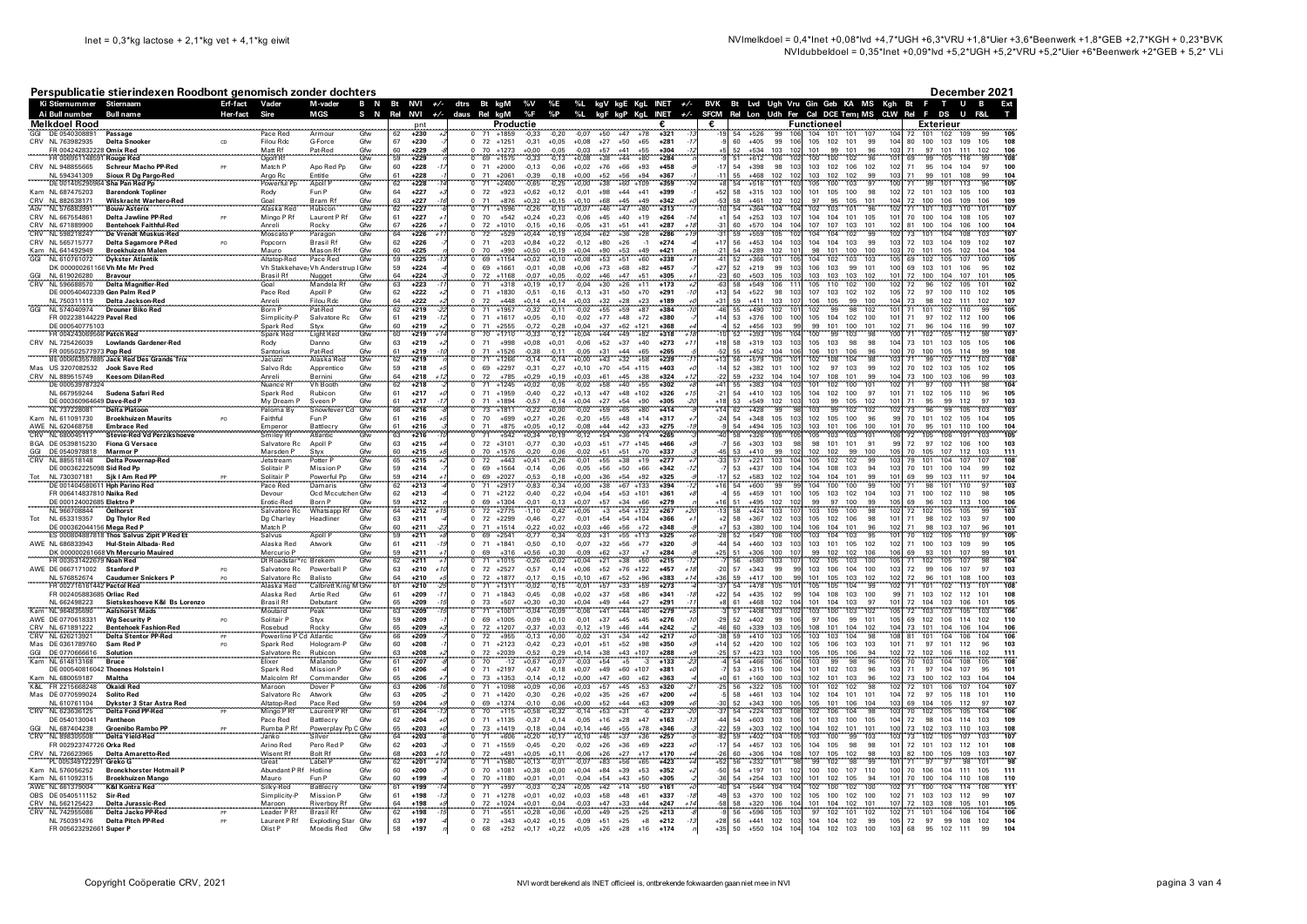Ai Bull number

**Rull nam** 

December 2021

Ext

Ŧ

T U B

**F** 

## Perspublicatie stierindexen Roodbont genomisch zonder dochters Ki Stiernummer Stiernaam

Erf-fact Vader

M-vader

**MGS** 

B N

| GGI     | <b>Melkdoel Rood</b>                          |                                                                                                                                                                                                                               |                                      |                                        |                   |                 | pnt                  |                        |                                | Productie          |                    |                                      |                                  | ŧ.                        | €                     |          |                  |                                                  | Functioneel |                          |                                         |                        |                        | <b>Exterieur</b> |                               |                        |
|---------|-----------------------------------------------|-------------------------------------------------------------------------------------------------------------------------------------------------------------------------------------------------------------------------------|--------------------------------------|----------------------------------------|-------------------|-----------------|----------------------|------------------------|--------------------------------|--------------------|--------------------|--------------------------------------|----------------------------------|---------------------------|-----------------------|----------|------------------|--------------------------------------------------|-------------|--------------------------|-----------------------------------------|------------------------|------------------------|------------------|-------------------------------|------------------------|
|         | DE 0540308891                                 | Passage                                                                                                                                                                                                                       | Pace Red                             | Armou                                  | Gfw               | 62              | $+230$               |                        | $+1859$                        | $-0.33$            | $-0.20$            | $-0.07$<br>$+50$                     | 178<br>$\overline{47}$           | $+321$                    |                       | 54       | $+526$           |                                                  | 104         | 101<br>101               | 107                                     |                        | 101                    | 102              | 109<br><b>GC</b>              |                        |
|         | CRV NL 763982935<br>FR 004242832228 Omix Red  | <b>Delta Snooker</b><br>CD                                                                                                                                                                                                    | <b>Filou Rdc</b><br>Matt Rf          | G-Force<br>Pat-Red                     | Gfw<br>Gfw        | 67<br>60        | $+230$<br>$+229$     | $\Omega$               | 72 +1251<br>70<br>$+1273$      | $-0.31$<br>$+0,00$ | $+0.05$<br>$-0,05$ | $+0,08$<br>$+27$<br>$-0,03$<br>$+57$ | $+50$<br>$+65$<br>$+41$<br>$+55$ | $+281$<br>$+304$          |                       | 60<br>52 | $+405$<br>$+534$ | 99<br>106<br>103<br>102                          | 105<br>101  | 102<br>101<br>99<br>101  | 99<br>96                                | 104<br>10              | 80<br>100<br>71<br>97  | 103<br>101       | 109<br>105<br>111<br>102      | 108<br>106             |
|         | FR 006951148591 Rouge Red                     |                                                                                                                                                                                                                               | Ogolf Rf                             |                                        | Gfw               | 59              | $+229$               |                        | 69<br>$+1575$                  | $-0,33$            | $-0,13$            | $+0,08$<br>$+38$                     | $+44$<br>+80                     | $+284$                    |                       | 51       | $+612$           | 106                                              | 100         | 102<br>100               | 96                                      |                        | 99                     | 105              | 116                           | 108                    |
|         | CRV NL 948855665                              | <b>Schreur Macho PP-Red</b>                                                                                                                                                                                                   | Match P                              | Apo Red Pp                             | Gfw               | 60              | $+228$               |                        | $0$ 71<br>$+2000$              | $-0,13$            | $-0,06$            | $+0,02 +76$                          | $+66$<br>$+93$                   | $+458$                    |                       | 54       | $+398$           | 98<br>10 <sup>5</sup>                            | 103         | 102<br>106               | 102                                     | 102                    |                        | 71 95 104        | 104<br>97                     | 100                    |
| e e con | NL 594341309                                  | Sioux R Dg Pargo-Red                                                                                                                                                                                                          | Argo Rc<br>Powerful Pp               | Entitle                                | Gfw<br>Gfw        |                 | $+228$               |                        | 71<br>$+206$                   |                    | $-0.18$            | $+0.00$<br>$+52$                     | <b>+56</b>                       | $+367$                    |                       |          | 1468             | 102                                              | 103         | 102<br>102               |                                         |                        | QQ                     | 10 <sup>1</sup>  |                               |                        |
|         | DE 0014052909                                 | <b>Sha Pan Red Po</b>                                                                                                                                                                                                         |                                      | Apoll F                                |                   | 62              | $+228$               |                        | 71<br>$+2400$                  | -0.65              | $-0.25$            | $+38$<br>+0.00                       | $+60$<br>+109                    | $+359$                    |                       | <br>54   | $+516$           | 101                                              | 105         | 103<br>100               |                                         |                        | 99                     | 101              | 113                           | 105                    |
|         | Kam NL 687475203<br>CRV NL 882638171          | <b>Barendonk Topliner</b><br>Wilskracht Warhero-Red                                                                                                                                                                           | Rody<br>Goal                         | Fun P<br>Bram Rf                       | Gfw<br>Gfw        | 64<br>63        | $+227$<br>$+227$     | $\Omega$<br>$\Omega$   | 72<br>$+923$<br>71<br>$+876$   | $+0,62$<br>$+0,32$ | $+0,12$<br>$+0,15$ | $-0,01$<br>$+98$<br>$+0,10$<br>$+68$ | $+44$<br>$+41$<br>$+45$<br>$+49$ | $+399$<br>$+342$          | +52<br>$-53$          | 58<br>58 | $+315$<br>$+461$ | 103<br>100<br>102<br>102                         | 101<br>97   | 105<br>100<br>95<br>105  | 98<br>101                               | 102<br>104             | 72<br>101<br>72<br>100 | 103<br>106       | 105<br>100<br>109<br>106      | 103<br>109             |
| Adv     | NL 576883991                                  | <b>Bouw Asterix</b>                                                                                                                                                                                                           | Alaska Red                           | Rubicon                                | Gfw               | 62              | $+227$               |                        | 71<br>$+1596$                  | $-0,26$            | $-0,10$            | $+0,07$<br>$+46$                     | $+47$<br>$+80$                   | $+313$                    |                       | 54       | $+364$           | 104                                              | 102         | 103<br>101               | 96                                      | $10^{1}$               | 101<br>71              | 103              | 110<br>101                    | 107                    |
|         | CRV NI 667554861                              | Delta Jawline PP-Red<br>PP                                                                                                                                                                                                    | Mingo P Rf                           | Laurent P Rf                           | Gfw               | 61              | $+227$               | $\Omega$               | 70<br>$+542$                   | $+0.24$            | $+0.23$            | $-0.06$<br>$+45$                     | $+40$<br>$+19$                   | $+264$                    |                       | 54       | $+253$           | 103<br>107                                       | 104         | 101<br>104               | 105                                     | $10^{\circ}$           | 70<br>100              | 104              | 108<br>105                    | 107                    |
|         | CRV NL 671889900                              | <b>Bentehoek Faithful-Red</b>                                                                                                                                                                                                 | Anreli                               | Rocky                                  | Gfw               | 67              | +226                 | $\Omega$               | 72<br>$+1010$                  | $-0,15$            | $+0,16$            | $-0,05$<br>$+31$                     | $+51$<br>$+41$                   | $+287$                    | $-31$                 | 60       | $+570$           | 104<br>104                                       | 107         | 107<br>103               | 101                                     | 102                    | 81<br>100              | 104              | 106<br>100                    | 104                    |
|         | CRV NL 598218247                              | <b>De Vrendt Muskus-Red</b>                                                                                                                                                                                                   | Moscato                              | Paragon                                | Gfw               | 64              | $+226$               | $\Omega$               | 72<br>$+529$                   | $+0.44$            | $+0,19$            | $+0,04$<br>$+62$                     | $+36$<br>$+28$                   | $+286$<br>+1.             | $-31$                 | 59       | $+559$           | 105                                              | 104         | 102<br>104               | 99                                      | 102                    | 73<br>101              | 104              | 108<br>103                    | 107                    |
|         | CRV NL 565715777<br>Kam NL 641492949          | Delta Sagamore P-Red<br><b>Broekhuizen Malen</b>                                                                                                                                                                              | Popcorn<br>Mauro                     | <b>Brasil Rf</b><br>Mason Rf           | Gfw<br>Gfw        | 62<br>60        | $+226$<br>$+225$     | $^{\circ}$             | 71<br>$+203$<br>70<br>$+990$   | $+0,84$<br>$+0,50$ | $+0,22$<br>$+0,19$ | $-0,12$<br>$+80$<br>$+0,04$<br>$+90$ | $+26$<br>$-1$<br>$+53$<br>$+49$  | $+274$<br>$+421$          | $+17$                 | 56<br>54 | $+453$<br>$+289$ | 104<br>10 <sup>5</sup><br>102<br>10 <sup>1</sup> | 104<br>98   | 104<br>103<br>101<br>100 | 99<br>100                               | 103<br>10 <sup>2</sup> | 72<br>103<br>70<br>101 | 104<br>105       | 109<br>102<br>102<br>104      | 107<br>104             |
| GGI     | NL 610761072                                  | <b>Dykster Atlantik</b>                                                                                                                                                                                                       | Altatop-Red                          | Pace Red                               | Gfw               | 59              | $+225$               |                        | 69<br>$+1154$                  | $+0,02$            | $+0,10$            | $+0,08$<br>$+53$                     | $+51$<br>$+60$                   | $+338$                    |                       | 52       | $+366$           | 101<br>105                                       | 104         | 103<br>102               | 103                                     | 105                    | 69<br>102              | 105              | 107<br>100                    | 105                    |
|         |                                               | DK 000000261166 Vh Me Mr Pred                                                                                                                                                                                                 |                                      | Vh Stakkehave: Vh Anderstrup I Gfw     |                   | 59              | $+224$               | $\Omega$               | 69<br>$+1661$                  | $-0.01$            | $+0.08$            | $+73$<br>$+0.06$                     | $+68$<br>$+82$                   | $+457$                    | $+27$                 | 52       | $+219$           | 99<br>103                                        | 106         | 103<br>99                | 101                                     | 100                    | 69<br>103              | 101              | 106<br>95                     | 102                    |
|         | NL 619026280                                  | <b>Bravour</b>                                                                                                                                                                                                                | Brasil Rf                            | Nugget<br>Mandela Rf                   | Gfw<br>Gfw        | $\frac{64}{63}$ | +224                 |                        | 72<br>$+1168$                  | $-0.07$            | $+0,05$            | $-0,02$<br>$-0,04$<br>$+46$          | +47<br>$+51$                     | $+305$                    |                       | 60<br>58 | +503             | 105                                              | 103         | 103<br>103               | 102                                     |                        | 72<br>100              | 104              | 107                           | 105                    |
|         | NL 596688570                                  | Delta Magnifier-Red                                                                                                                                                                                                           | Goal                                 |                                        |                   |                 | $+223$               |                        | $+318$                         | $+0.19$            | $+0.17$            | $+30$                                | $+26$<br>+11                     | $+173$                    |                       |          | $+549$           | 106                                              | 105         | 102<br>110               | 100                                     |                        | 96<br>72               | 102              | 105<br>101                    | 102                    |
|         | NL 750311119                                  | DE 000540402339 Gen Palm Red P<br>Delta Jackson-Red                                                                                                                                                                           | Pace Red<br>Anreli                   | Apoll P<br><b>Filou Rdc</b>            | Gfw               | 62<br>64        | $+222$<br>$+222$     | $\Omega$               | 71<br>$+1830$<br>72<br>$+448$  | $-0,51$<br>$+0.14$ | $-0,16$<br>$+0.14$ | $-0,13$<br>$+31$<br>$+0,03$<br>$+32$ | $+50$<br>$+70$<br>$+23$<br>$+28$ | $+291$<br>$+189$          | $+13$<br>+31          | 54<br>59 | $+522$<br>$+411$ | 98<br>103<br>103<br>107                          | 107<br>106  | 103<br>102<br>105<br>99  | 102<br>100                              | 105<br>10 <sub>4</sub> | 72<br>73<br>98         | 97 100<br>102    | 110<br>102<br>111<br>102      | 105<br>107             |
| GGI     | NL 574040974                                  | <b>Drouner Biko Red</b>                                                                                                                                                                                                       | Born F                               | Pat-Red                                | Gfw<br>Gfw        | 62              | $+219$               |                        | 71<br>$+1957$                  | $-0,32$            | $-0,11$            | $-0,02$<br>$+55$                     | $+59$<br>$+87$                   | $+384$                    |                       | 55       | $+490$           | 102                                              | 102         | $-98$<br>99              | 102                                     |                        | 101<br>71              | 102              | 110<br>99                     | 105                    |
|         | FR 002238144229 Pavel Red                     |                                                                                                                                                                                                                               | Simplicity-P                         | Salvatore Rc.                          | Gfw               | 61              | $+219$               | $\Omega$               | $+1617$<br>71                  | $+0.05$            | $-0.10$            | $-0.02$<br>$+77$                     | $+48$<br>$+72$                   | $+380$                    | $+14$                 | 53       | $+376$           | 100<br>100                                       | 105         | 102<br>104               | 100                                     | $10^{\circ}$           | 71<br>97               | 102              | 112<br>100                    | 106                    |
|         | DE 000540775103                               |                                                                                                                                                                                                                               | Spark Red                            | Styx                                   | Gfw<br>Gfw        | 60              | $+219$               |                        | 71<br>$+2555$                  | $-0.72$            | $-0,28$            | $+0,04$<br>$+37$                     | $+62$<br>$+121$                  | $+368$                    |                       | 52       | $+456$           | 103<br>qc                                        | 99          | 101<br>100               | 101                                     | 102                    | 71<br>96               | 104              | 116<br>99                     | 107                    |
|         | FR 004243069566 Patch Red<br>CRV NL 725426039 | <b>Lowlands Gardener-Red</b>                                                                                                                                                                                                  | Spark Red<br>Rody                    | <b>Light Red</b><br>Danno              | Gfw               | 60<br>63        | $+219$<br>$+219$     | $\Omega$               | 70<br>$+1710$<br>71<br>$+998$  | $-0,33$<br>$+0,08$ | $-0,12$<br>$+0.01$ | $+44$<br>$+0,04$<br>$-0,06$<br>$+52$ | $+82$<br>$+49$<br>$+37$<br>$+40$ | $+318$<br>$+273$          | $+18$                 | 52<br>58 | $+393$<br>$+319$ | 105<br>103<br>103                                | 100<br>105  | 99<br>103<br>103<br>98   | 98<br>98                                | 104                    | 102<br>71<br>73<br>101 | 105<br>103       | 112<br>98<br>105<br>105       | 107<br>106             |
|         | FR 005502577973 Pop Red                       |                                                                                                                                                                                                                               | Santorius                            | Pat-Red                                | Gfw               | 61              | $+219$               |                        | 71<br>$+1526$                  | $-0,38$            | $-0,11$            | $-0,05$<br>$+31$                     | $+44$<br>$+65$                   | $+265$                    | $-52$                 | 55       | $+452$           | 104<br>106                                       | 106         | 101<br>106               | 96                                      | 100                    | 70<br>100              | 105              | 114<br>99                     | 108                    |
|         |                                               | BE 000663557885 Jack Red Des Grands Trix                                                                                                                                                                                      | Jacuzzi                              | Alaska Red                             | Gfw               | 62              | $+219$               |                        | $+1266$                        |                    | $-0, 14$           | $+0,00$<br>$+43$                     | $+32$<br>$+58$                   | $+239$                    |                       | 56       |                  | 105                                              | 102         | 104                      | 98                                      |                        | 99                     | 102              |                               | 108                    |
|         | Mas US 3207082532                             | Jook Save Red                                                                                                                                                                                                                 | Salvo Rdc                            | Apprentice                             | Gfw               | 59              | $+218$               | $^{\circ}$             | 69<br>$+2297$                  | $-0.31$            | $-0,27$            | $+70$<br>$+0,10$                     | $+54$ +115                       | $+403$                    |                       | 52       | $+382$           | 101<br>100                                       | 102         | 97<br>103                | 99                                      | 102                    | 70<br>102              | 103              | 105<br>102                    | 105                    |
|         | CRV NL 889515749                              |                                                                                                                                                                                                                               | Anreli<br>Nuance Rf                  | Bernini<br>Vh Booth                    | Gfw<br>Gfw        | 64              | $+218$               |                        | 72<br>$+785$                   | $+0,29$            | $+0,19$            | $+0,03$<br>$+61$<br>$+58$            | $+45$<br>$+40$<br>$+38$          | $+324$                    |                       | 59<br>55 | $+232$<br>$+383$ | $\frac{104}{104}$<br>104                         | 107         | 108<br>101               | 99                                      | 104                    | 73<br>100              | 103              | 106<br>99                     | 103                    |
|         | DE 00053978732                                |                                                                                                                                                                                                                               |                                      |                                        | Gfw               | 62              | $+218$               |                        | $+1245$<br>71<br>$+1959$       | $+0.02$            | $-0.05$            | 0.02<br>$+47$                        | $+55$<br>$+48$<br>$+102$         | $+302$<br>$+326$          |                       | 54       | $+410$           | 10 <sup>1</sup>                                  | 101         | 100<br>102               | 101<br>97                               | 10                     | 97<br>71<br>102        | 100              | 111                           | 104<br>105             |
|         | NL 667959244<br>DE 000360964649 Dave-Red P    | Sudena Safari Red                                                                                                                                                                                                             | Spark Red<br>My Dream P              | Rubicon                                |                   | 61<br>61        | $+217$<br>$+217$     | $^{\circ}$             | 71<br>$+1894$                  | $-0,40$<br>$-0.57$ | $-0,22$<br>$-0.14$ | $+0,13$<br>$+27$<br>$+0,04$          | $+54$<br>$+90$                   | $+305$                    | $-21$                 | 53       | $+549$           | 103<br>102<br>103                                | 104<br>103  | 102<br>100<br>105<br>99  | 102                                     | 10                     | 71<br>95               | 105<br>99        | 110<br>96<br>112<br>97        | 103                    |
|         | NI 737228081                                  | <b>Delta Platoor</b>                                                                                                                                                                                                          | Paloma By                            | Sveen P<br>Snowfeve                    | Gfw<br>Gfw        |                 | $+216$               |                        | 73<br>$+1811$                  | $-0,22$            | $+0,00$            | $+59$<br>$-0,02$                     | $+80$<br>$+65$                   | $+414$                    |                       | 62       | $+428$           | $\overline{99}$                                  | 103         | 99<br>102                | 102                                     |                        | 96<br>73               | 99               | 105<br>103                    | 103                    |
|         | Kam NL 611091730                              | <b>Broekhuizen Maurits</b><br>PO                                                                                                                                                                                              | Faithful                             | Fun P                                  | Gfw               | 61              | $+216$               | $\Omega$               | 70<br>$+699$                   | $+0,27$            | $+0,26$            | $-0,20$<br>$+55$                     | $+48$<br>$+14$                   | $+317$                    | $-24$                 | 54       | $+348$           | 105<br>103                                       | 102         | 105<br>100               | 96                                      | 99                     | 70<br>101              | 102              | 105<br>104                    | 105                    |
|         | AWE NL 620468758                              | <b>Embrace Red</b>                                                                                                                                                                                                            | Emperor                              | Battlecry                              | Gfw               | 61              | $+216$               | $\Omega$               | 71<br>$+875$                   | $+0,05$            | $+0,12$            | $-0,08$<br>$+44$                     | $+42$<br>$+33$                   | $+275$                    |                       | БA       | $+494$           | 105<br>103                                       | 103         | 101<br>106               | 100                                     | 101                    | 70<br>95               | 101              | 110<br>100                    | 104                    |
|         | CRV NL 680045117<br>BGA DE 0539815230         | <b>Stevie-Red Vd Perzikshoeve</b><br><b>Fiona G Versace</b>                                                                                                                                                                   | <b>Smiley Rf</b><br>Salvatore Rc     | Atlantic<br>Apoll P                    | Gfw<br>Gfw        | 63<br>63        | $+216$<br>$+215$     | $^{\circ}$             | 71<br>$+542$<br>72<br>$+3101$  | $+0,34$<br>$-0.77$ | $+0,19$<br>$-0.30$ | $-0,12$<br>$+54$<br>$+51$<br>$+0.03$ | $+36$<br>$+14$<br>$+77$ $+145$   | $+265$<br>+466            |                       | 58<br>56 | $+326$<br>$+303$ | 105<br>103<br>98                                 | 105<br>98   | 103<br>103<br>101<br>101 | 101<br>91                               | 106<br>99              | 72<br>105<br>72<br>97  | 106<br>102       | 101<br>103<br>106<br>100      | 105<br>103             |
| GGI     | DE 0540978818                                 | <b>Marmor P</b>                                                                                                                                                                                                               | Marsden P                            | Stvx                                   | Gfw               | 60              | $+215$               | $\Omega$               | 70<br>$+1576$                  | $-0.20$            | $-0,06$            | $-0,02$<br>$+51$                     | $+51$<br>$+70$                   | $+337$                    | 45                    | 53       | $+410$           | 99<br>102                                        | 102         | 99<br>102                | 100                                     | 105                    | 70<br>105              | 107              | 112<br>103                    | 111                    |
| CRV     | NL 885518148                                  | <b>Delta Powernap-Red</b>                                                                                                                                                                                                     | Jetstream                            | Potter F                               | Gfw               | 65              | $+215$               |                        | 72<br>$+443$                   | $+0.41$            | $+0,26$            | $-0,01$<br>$+55$                     | $+38$<br>$+19$                   | $+277$                    | -33                   | 57       | $+221$           | 103<br>10 <sub>4</sub>                           | 105         | 102<br>102               | 99                                      | 10                     | 79<br>101              | 104              | 107<br>107                    | 108                    |
|         | DF 000362225098 Sid Red Pn                    |                                                                                                                                                                                                                               | Solitair P                           | Mission P                              | Gfw               | 59              | $+214$               | $\Omega$               | 69<br>$+1564$                  | $-0.14$            | $-0.06$            | $-0.05$<br>$+56$                     | $+50$<br>$+66$                   | $+342$                    |                       | 53       | $+437$           | 100<br>104                                       | 104         | 108<br>103               | 94                                      | 103                    | 70<br>101              | 100              | 104<br>99                     | 102                    |
|         | NL 730307181                                  | Sjk I Am Red PP                                                                                                                                                                                                               | Solitair P                           | Powerful Pp                            | Gfw               | 59              | $+214$               | $\Omega$               | 69<br>$+2027$                  | $-0.53$            | $-0,18$            | $+0,00$<br>$+36$                     | $+54$<br>$+92$                   | $+325$                    |                       | 52       | $+583$           | 102<br>102                                       | 104         | 104<br>101               | 99                                      | $10^{\circ}$           | 69<br>99               | 103              | 111<br>97                     | 104                    |
|         | FR 006414837810 Naika Red                     | DE 001404580611 Hph Parino Red                                                                                                                                                                                                | Pace Red<br>Devour                   | Damaris<br>Ocd Mccutchen Gfw           | Gfw               | 62<br>62        | $+213$<br>$+213$     | $\Omega$               | $+2917$<br>71<br>71<br>$+2122$ | 0.83<br>$-0,40$    | $-0,34$<br>$-0,22$ | $+38$<br>$+0,00$<br>$+0,04$<br>$+54$ | $+67$<br>$+133$<br>$+53$ +101    | $+394$<br>$+361$          |                       | 54<br>55 | $+600$<br>$+459$ | 99<br>101<br>10                                  | 104<br>105  | 100<br>100<br>103<br>102 | 99<br>104                               | 102                    | 98<br>71<br>71<br>100  | 101<br>102       | 110<br>110<br>98              | 103<br>105             |
|         | DE 000124002685 Elektro P                     |                                                                                                                                                                                                                               | Frotic-Red                           | Born P                                 |                   | 59              | $+212$               |                        | 69<br>$+1304$                  | $-0.01$            | $-0.13$            | $+0.07$<br>$+57$                     | $+34$<br>$+66$                   | $+279$                    |                       | 51       | $+495$           | 102<br>10                                        | 99          | 97<br>100                |                                         | 105                    | 69<br>96               | 103              | 113<br>100                    | 106                    |
|         | NL 966708844                                  | <b>Oelhorst</b>                                                                                                                                                                                                               | Salvatore Rc                         | Whatsapp Rf                            | Gfw<br>Gfw        |                 | $+212$               |                        | $\frac{1}{72}$<br>$+2775$      |                    | $-0,42$            | $^{+3}$<br>$+0,05$                   | $+54$<br>$+132$                  | $+267$                    |                       | 58       | $+424$           | 103<br>$10^{1}$                                  | 103         | $100 -$<br>109           | $\begin{array}{c} 99 \\ 98 \end{array}$ | 10:                    | $\frac{1}{72}$<br>102  | 105              | 105                           | 103                    |
| Tot     | NL 653319357                                  | <b>Dg Thylor Red</b>                                                                                                                                                                                                          |                                      | Headliner                              | Gfw               | 63              | $+211$               | $\Omega$               | 72<br>$+2299$                  | $-0.46$            | $-0,27$            | $-0,01$<br>$+54$                     | $+54$ +104                       | $+366$                    |                       | 58       | $+367$           | 102<br>103                                       | 105         | 102<br>106               | 98                                      | 101                    | 71<br>98               | 102              | 103<br>97                     | 100                    |
|         |                                               |                                                                                                                                                                                                                               | Dg Charley                           |                                        |                   |                 |                      |                        |                                |                    |                    |                                      |                                  |                           |                       |          | +380             |                                                  |             |                          |                                         |                        | 98                     | 103<br>105       | 107<br>$\frac{96}{97}$<br>110 | 10 <sup>1</sup><br>105 |
|         |                                               |                                                                                                                                                                                                                               |                                      |                                        |                   | 60              | $+211$               |                        | $+1514$<br>71                  | $-0.22$            | $+0.02$            | $+46$<br>$+0,03$                     | $+56$<br>$+72$                   | $+348$                    |                       |          |                  | 100                                              | 106         | 101<br>104               |                                         |                        |                        |                  |                               | 105                    |
|         |                                               | DE 000362044156 Mega Red P. (1999) 1999 - 1999 - 1999 - 1999 - 1999 - 1999 - 1999 - 1999 - 1999 - 1999 - 1999 - 1999 - 1999 - 1999 - 1999 - 1999 - 1999 - 1999 - 1999 - 1999 - 1999 - 1999 - 1999 - 1999 - 1999 - 1999 - 1999 |                                      | Match P<br>Salvus Apoll P              | Gfw<br>Gfw        | 59              | $+211$               |                        | 69<br>$+2541$                  | $-0,77$            | $-0,34$            | $-0,03$<br>$+31$                     | $+55$<br>$+113$                  | $+325$                    |                       | 53<br>52 | $+547$           | 106                                              | 103         | 103<br>104               | 96<br>95                                |                        | 70<br>102              |                  |                               |                        |
|         | AWE NL 686833943                              | Hul-Stein Albada-Red<br>DK 000000261668 Vh Mercurio Mauired                                                                                                                                                                   | Alaska Red<br>Mercurio P             | Atwork                                 | Gfw<br>Gfw        | 61<br>59        | $+211$<br>$+211$     | $\Omega$               | 71<br>$+1841$<br>69<br>$+316$  | $-0.50$<br>$+0.56$ | $-0.10$<br>$+0.30$ | $-0.07$<br>$+32$<br>$-0.09$<br>$+62$ | $+56$<br>$+77$<br>$+37$<br>$+7$  | $+320$<br>$+284$          | $+25$                 | 54<br>51 | $+460$<br>$+306$ | 103<br>103<br>100<br>107                         | 103<br>99   | 101<br>105<br>102<br>102 | 102<br>106                              | 102<br>106             | 71<br>100<br>69<br>93  | 103<br>101       | 109<br>99<br>99<br>107        | 101                    |
|         | FR 003531422679 Noah Red                      |                                                                                                                                                                                                                               |                                      | Dt Roadstar*rc Brekem                  | Gfw               | 62              | $+211$               | Ō.                     | 71<br>$+1015$                  | $-0,26$            | $+0,02$            | $+0,04$<br>$+21$                     | $+38$<br>$+50$                   | $+215$                    |                       | 56       | $+580$           | 103<br>$10^{\circ}$                              | 102         | 103<br>105               | 100                                     | 105                    | 71<br>102              | 105              | 107<br>98                     | 104                    |
|         | AWE DE 0667171002 Stanford P                  | PO                                                                                                                                                                                                                            | Salvatore Rc                         | Powerball P                            | Gfw               | 63              | $+210$<br>$+1$       |                        | $0$ 72<br>$+2527$              | $-0.57$            | $-0.14$            | $+0.06$<br>$+52$                     | $+76$ +122                       | $+457$<br>$+1i$           | $-20$                 | 57       | $+343$           | 99<br>qc                                         | 103         | 106<br>104               | 100                                     | 103                    | 72<br>99               | 106              | 107<br>97                     | 103                    |
|         | NL 576852674                                  | <b>Caudumer Snickers P</b><br>PO                                                                                                                                                                                              | Salvatore Rc                         | <b>Balisto</b>                         | Gfw               | 64              | +210                 |                        | 72<br>$+1877$                  | $-0.17$            | $-0,15$            | $+67$<br>$+0.10$                     | $+52$<br>$+96$                   | $+383$<br>$+1$            | $+36$                 | 59       | $+417$           | 100<br>Q                                         | 101         | 105<br>103               | 102                                     | 102                    | 96<br>72               | 101              | 108<br>100                    | 103                    |
|         | FR 002716161442 Pactol Red                    |                                                                                                                                                                                                                               | Alaska Red                           | Calbrett King M Gfw                    |                   | 61              | $+210$<br>-2<br>$-7$ | $\Omega$               | 71<br>$+1311$                  | $-0.02$            | $-0.15$            | $+57$<br>$-0.01$                     | $+59$<br>$+33$                   | $+273$                    | -37                   | 54       | $+478$           | 105<br>99                                        | 105         | 105<br>104               | 99                                      | 102<br>99              | 71<br>101              | 102              | 113<br>101                    | 108<br>108             |
|         | FR 002405883685 Orliac Red<br>NL 662498223    | Sietskeshoeve K&I Bs Lorenzo                                                                                                                                                                                                  | Alaska Red<br><b>Brasil Rf</b>       | Artie Red<br>Debutant                  | Gfw<br>Gfw        | 61<br>65        | $+209$<br>$+209$     | $^{\circ}$<br>$\Omega$ | 71<br>$+1843$<br>73<br>$+507$  | $-0,45$<br>$+0,30$ | $-0,08$<br>$+0,30$ | $+0,02$<br>$+37$<br>$+49$<br>$+0.04$ | $+58$<br>$+86$<br>$+44$<br>$+27$ | $+341$<br>$+291$          | $+22$                 | 54<br>61 | $+435$<br>$+468$ | 102<br>102<br>104                                | 104<br>101  | 108<br>103<br>104<br>103 | 100<br>97                               | 101                    | 71<br>103<br>72<br>104 | 102<br>103       | 112<br>101<br>106<br>101      | 105                    |
|         | Kam NL 964835690                              | <b>Aalshorst Mads</b>                                                                                                                                                                                                         | Moutard                              | Peak                                   | Gfw               | 63              | $+209$               |                        | 71<br>$+1001$                  | $-0,04$            | $+0,09$            | $-0,06$<br>$+41$                     | $+44$<br>$+40$                   | $+279$                    |                       | 57       | $+408$           | 103<br>10 <sup>2</sup>                           | 103         | 100<br>103               | 102                                     | 105                    | 103<br>72              | 103              | 105<br>103                    | 106                    |
|         | AWE DE 0770618331                             | Wa Security P<br><b>PO</b>                                                                                                                                                                                                    | Solitair P                           | Stvx                                   | Gfw               | 59              | $+209$               | $\Omega$               | 69 +1005                       | $-0.09$            | $+0.10$            | $+37$<br>$-0.01$                     | $+45$<br>$+45$                   | $+276$                    | $-29$                 | 52       | $+402$           | 99<br>106                                        | 97          | 106<br>99                | 101                                     | 105                    | 69<br>102              | 106              | 102<br>114                    | 110                    |
|         | CRV NL 671891222                              | <b>Bentehoek Fashion-Red</b>                                                                                                                                                                                                  | Rosebud                              |                                        |                   |                 | $+209$               |                        | 72<br>$+1207$                  | $-0.37$            |                    |                                      | $+44$                            | $+242$                    | $\Delta$ <sub>6</sub> |          | $+339$           | 103<br>10 <sup>1</sup><br>10 <sup>1</sup>        | 108         | 101<br>104               | 102                                     | 10<br>108              | 73<br>101              | 104              | 106<br>104                    |                        |
|         | CRV NL 626213921                              | <b>Delta Stentor PP-Red</b><br>PO                                                                                                                                                                                             | Powerline <b>F</b>                   | Rocky<br>Cd Atlantic                   | Gfw<br>Gfw<br>Gfw | $\frac{65}{66}$ | $+209$<br>$+208$     | $^{\circ}$             | 72<br>$+955$                   | $-0.13$            | $+0,03$<br>$+0,00$ | $-0,12$<br>$-0,02$<br>$^{+19}_{+31}$ | $+46$<br>$+34$<br>$+42$          | $+217$<br>$+350$          |                       | 60<br>59 | $+410$           | 103<br>102                                       | 103         | 104<br>103               | 98                                      | 101                    | 81<br>101<br>97        | 104              | 106<br>104<br>96              | 103                    |
| GGI     | Mas DE 0361789760<br>DE 0770666616            | Sam Red P<br>Solution                                                                                                                                                                                                         | Spark Red<br>Salvatore Ro            | Hologram-P<br><b>Rubicon</b>           | Gfw               | 60<br>63        | $+208$               |                        | 71<br>$+2123$<br>72<br>$+2039$ | $-0,42$<br>$-0.52$ | $-0,23$<br>$-0.29$ | $+0,01$<br>$+51$<br>$+38$<br>$+0.14$ | $+52$<br>$+98$<br>$+43 +107$     | $+288$                    | $-25$                 | 52<br>57 | $+420$<br>$+423$ | 100<br>103<br>100                                | 105<br>105  | 106<br>103<br>106<br>105 | 103<br>94                               | 102                    | 71<br>72<br>102        | 101<br>106       | 112<br>116<br>102             | 111                    |
| Kam     | NL 614813168                                  | <b>Bruce</b>                                                                                                                                                                                                                  | Elixer                               | Malando                                | Gfw               | 61              | $+207$               |                        | 70                             | $-12$<br>$+0,67$   | $+0,07$            | $-0,03$<br>$+54$                     | $+5$                             | $+133$                    |                       | 54       | $+466$           | 106<br>10                                        | 103         | 98<br>99                 | 96                                      | 105                    | 70<br>103              | 104              | 108<br>105                    | 108                    |
|         |                                               | DF 000540816042 Thoenes Holstein I                                                                                                                                                                                            | Spark Red                            | <b>Mission P</b>                       | Gfw               | 61              | $+206$               | $\Omega$               | 71<br>$+2197$                  | $-0.47$            | $-0.18$            | $+0.07$<br>$+49$                     | $+60 +107$                       | $+381$                    |                       | 53       | $+315$           | 100<br>104                                       | 101         | 102<br>103               | 96                                      | 103                    | 71<br>97               | 104              | 107<br>95                     | 101                    |
|         | NL 680059187                                  | Maltha                                                                                                                                                                                                                        |                                      | Commander                              | Gfw               | 65              | +206                 |                        | 73<br>$+1353$                  | $-0,14$            | $+0,12$            | $+47$<br>$+0.00$                     | $+60$<br>$+62$                   | $+363$                    |                       | 61       | $+160$           | 100<br>10 <sup>1</sup>                           | 102         | 101<br>103               | 96                                      | 102<br>10              | 73<br>100              | 102              | 103<br>104                    | 104                    |
| K&L     | FR 2215668248<br>Mas DE 0770599024            | <b>Okaidi Red</b><br><b>Solito Red</b>                                                                                                                                                                                        | Malcolm Rf<br>Maroon<br>Salvatore Rc | Dover P<br>Atwork                      | Gfw<br>Gfw        | 63<br>63        | $+206$<br>$+205$     | $^{\circ}$             | 71<br>$+1098$<br>71<br>$+1420$ | $+0,09$<br>$-0,30$ | $+0.06$<br>$-0,26$ | $+57$<br>$+0.03$<br>$+0,02$<br>$+35$ | $+45$<br>$+53$<br>$+67$<br>$+26$ | $+320$<br>$+200$          |                       | 56<br>58 | $+322$<br>$+461$ | 105<br>103<br>10 <sub>1</sub>                    | 101<br>102  | 102<br>102<br>104<br>101 | 98<br>101                               | 104                    | 72<br>101<br>72<br>97  | 106<br>105       | 107<br>104<br>118<br>101      | 107<br>110             |
|         | NL 610761104                                  | <b>Dykster 3 Star Astra Red</b>                                                                                                                                                                                               | Altaton-Red                          | Pace Red                               | Gfw               | 59              | $+204$               | $\Omega$               | 69<br>$+1374$                  | $-0.10$            | $-0.06$            | $+0.00$<br>$+52$                     | $+44$<br>$+63$                   | $+309$                    | -30                   | 52       | $+343$           | 100<br>105                                       | 105         | 101<br>106               | 104                                     | 103                    | 69<br>104              | 105              | 112<br>97                     | 107                    |
| CRV     | NL 623636125                                  | <b>Delta Fond PP-Red</b>                                                                                                                                                                                                      | Mingo P Rf                           | Laurent P Rt                           | Gfw               | 61              | $+204$               |                        | 70<br>$+115$                   | $+0.58$            | $+0.32$            | $-0,14$<br>$+53$                     | $+31$                            | $+237$                    | -37                   | 54       | $+224$           | 103                                              | 102         | 104<br>106               | 98                                      | $10^{1}$               | 102<br>70              | 105              | 105<br>104                    | 106                    |
|         | DF 0540130041                                 | Pantheon                                                                                                                                                                                                                      | Pace Red                             | <b>Battlecry</b>                       | Gfw               | 62              | $+204$               | $\Omega$               | 71<br>$+1135$                  | $-0.37$            | $-0.14$            | $-0.05$<br>$+16$                     | $+28$<br>$+47$                   | $+163$<br>$-1$            | $\Delta\Delta$        | 54       | $+603$           | 103<br>106                                       | 101         | 100<br>103               | 105                                     | 104                    | 72<br>98               | 104              | 114<br>103                    | 109                    |
|         | NL 687404238<br>NL 898305508                  | Groenibo Rambo PP<br><b>Delta Yield-Red</b>                                                                                                                                                                                   | Rumba PRf<br>Janko                   | Powerplay Pp C Gfw<br>Silver           | Gfw               | 65<br>64        | $+203$<br>$+203$     |                        | 73<br>$+1419$<br>71<br>$+606$  | $-0,18$<br>$+0.20$ | $+0,04$<br>$+0,17$ | $+0,14$<br>$+46$<br>$+0,10$<br>$+45$ | $+55$<br>$+78$<br>$+37$<br>$+36$ | $+346$<br>$+257$          | $-22$<br>.82          | 59<br>59 | $+303$<br>$+402$ | 102<br>100<br>104<br>10 <sup>5</sup>             | 104<br>103  | 102<br>101<br>100<br>99  | 101<br>103                              | 100<br>103             | 73<br>102<br>73<br>102 | 103<br>105       | 110<br>103<br>107<br>103      | 108<br>107             |
|         | FR 002923747726 Orka Red                      |                                                                                                                                                                                                                               | Arino Red                            | Pero Red F                             | Gfw               | 62              | $+203$               | $\Omega$               | 71<br>$+1559$                  | $-0.45$            | $-0.20$            | $-0,02$<br>$+26$                     | $+36$<br>$+69$                   | $+223$                    | $-17$                 | 54       | $+457$           | 103<br>105                                       | 104         | 105<br>98                | 98                                      | 101                    | 72<br>101              | 103              | 112 101                       | 108                    |
|         | CRV NL 726623965                              | <b>Delta Amaretto-Red</b>                                                                                                                                                                                                     | Wisent Rf                            | <b>Bolt Rf</b>                         | Gfw               | 68              | $+203$               | $\Omega$               | 72<br>$+491$                   | $+0.05$            | $+0,11$            | $+26$<br>$-0.06$                     | $+17$<br>$+27$                   | $+170$                    | $-26$                 | 60       | $+306$           | 104<br>108                                       | 107         | 102<br>105               | 98                                      | 10.3                   | 82<br>100              | 105              | 109<br>103                    | 107                    |
|         | PL 005349122291                               | <b>Greko G</b>                                                                                                                                                                                                                | Great                                | Label F                                | Gfw               | 62              | $+201$               |                        | 71<br>$+1580$                  | $+0,13$            | $-0,01$            | $-0,07$<br>$+83$                     | $+56$<br>$+65$                   | $+423$                    |                       | 56       | $+332$           | 101                                              | 99          | 98<br>102                | 99                                      |                        | 97                     | 97               | 98<br>10 <sup>1</sup>         | 98                     |
|         | Kam NL 576056252                              | <b>Bronckhorster Hotmail P</b>                                                                                                                                                                                                | Abundant P                           | Hotline                                | Gfw               | 60              | $+200$               | $\Omega$               | $+1081$<br>70                  | $+0,38$            | $+0.00$            | $+84$<br>$+0.04$                     | $+39$<br>$+53$                   | $+352$                    | $-50$                 | 54       | $+197$           | 101<br>10                                        | 100         | 100<br>107               | 110                                     | 100                    | 70<br>106              | 104              | 111<br>105                    | 111                    |
|         | Kam NL 611092315<br>AWE NL 661379004          | Broekhuizen Mango<br><b>K&amp;I Kontra Red</b>                                                                                                                                                                                | Mauro<br>Silky-Red                   | Fun P<br>Battlecry                     | Gfw               | 60<br>61        | $+199$<br>$+199$     |                        | 70<br>$+1180$<br>71<br>+997    | $+0,01$<br>$-0.03$ | $+0,01$<br>$-0.24$ | $-0.04$<br>$+54$<br>$+42$<br>$+0.05$ | $+43$<br>$+50$<br>$+14$<br>$+50$ | $+305$<br>$+161$          |                       | 54<br>54 | $+254$<br>$+544$ | 103<br>104<br>104                                | 101<br>102  | 102<br>105<br>102<br>100 | 94<br>100                               | 10                     | 70<br>100<br>71<br>100 | 104<br>104       | 110<br>108<br>114<br>106      | 111                    |
|         | OBS DE 0540511152                             | Sir-Red                                                                                                                                                                                                                       | Simplicity-P                         | <b>Mission P</b>                       | Gfw               | 61              | $+198$               | $^{\circ}$             | 71<br>$+1278$                  | $+0.01$            | $+0.02$            | $+0,03$<br>$+58$                     | $+48$<br>$+61$                   | $+337$                    | $-49$                 | 53       | $+370$           | 100<br>10                                        | 105         | 102<br>100               | 100                                     | 102                    | 71<br>103              | 103              | 112<br>99                     | 107                    |
|         | CRV NI 562125423                              | Delta Jurassic-Red                                                                                                                                                                                                            | Maroon                               | Riverboy Rf                            | Gfw               | 64              | $+198$               | $\Omega$               | 72<br>$+1024$                  | $+0.01$            | $-0.04$            | $-0.03$<br>$+47$                     | $+33$<br>$+44$                   | $+247$<br>$+1.$           | $-58$                 | 58       | $+320$           | 106<br>104                                       | 101         | 102<br>104               | 101                                     | 107                    | 72<br>103              | 108              | 105<br>101                    | 105                    |
|         | CRV NL 742955086<br>NI 750391476              | Delta Jacko PP-Rec<br>Delta Pitch PP-Red<br>PP                                                                                                                                                                                | Leader P Rf<br>Laurent P Rf          | <b>Brasil Rf</b><br>Exploding Star Gfw | Gfw               | 62<br>63        | $+198$<br>$+197$     | $\Omega$               | 71<br>$+551$<br>72<br>$+343$   | $+0.28$<br>$+0.42$ | $+0,06$<br>$+0,15$ | $+0,00$<br>$+49$<br>$-0.09$<br>$+51$ | $+25$<br>$+25$<br>$+25$<br>$+8$  | $+213$<br>$+212$<br>$-7.$ | $+28$                 | 56<br>56 | $+596$<br>$+441$ | 105<br>103<br>103<br>102                         | 97<br>104   | 102<br>101<br>104<br>102 | 102<br>99                               | 102<br>105             | 71<br>101<br>72<br>97  | 104<br>99        | 106<br>104<br>108<br>102      | 106<br>104             |

.<br>Bt NVI +/- dtrs Bt kgM %V %E %L kgV kgE KgL INET +/- BVK Bt Lvd Ugh Vru Gin Geb KA MS Kgh Bt